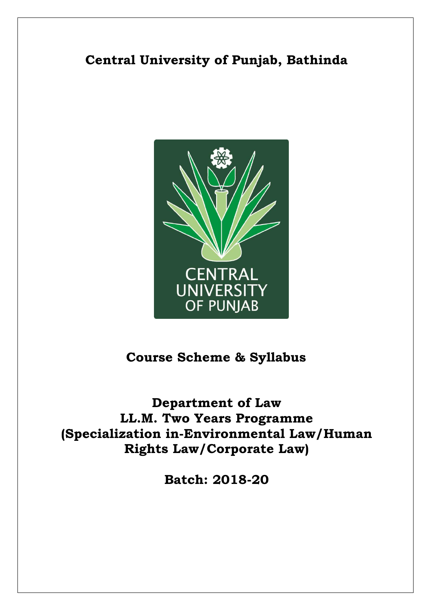# **Central University of Punjab, Bathinda**



# **Course Scheme & Syllabus**

**Department of Law LL.M. Two Years Programme (Specialization in-Environmental Law/Human Rights Law/Corporate Law)**

**Batch: 2018-20**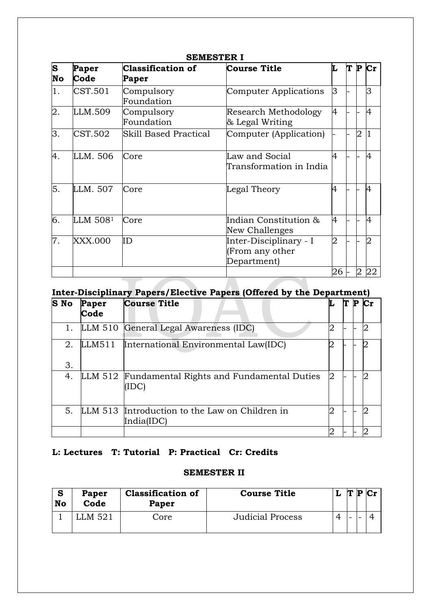| S  | Paper    | <b>Classification of</b>                                                                | <b>Course Title</b>     |                | IT | P              | Сr             |  |
|----|----------|-----------------------------------------------------------------------------------------|-------------------------|----------------|----|----------------|----------------|--|
| No | Code     | Paper                                                                                   |                         |                |    |                |                |  |
| 1. | CST.501  | Compulsory                                                                              | Computer Applications   | lЗ             |    |                | 3              |  |
|    |          | Foundation                                                                              |                         |                |    |                |                |  |
| 2. | LLM.509  | Compulsory                                                                              | Research Methodology    | 4              |    |                | $\overline{4}$ |  |
|    |          | Foundation<br>& Legal Writing<br><b>Skill Based Practical</b><br>Computer (Application) |                         |                |    |                |                |  |
| 3. | CST.502  |                                                                                         |                         |                |    | $\overline{2}$ |                |  |
|    |          |                                                                                         |                         |                |    |                |                |  |
| 4. | LLM, 506 | Core                                                                                    | Law and Social          | 4              |    |                | $\overline{4}$ |  |
|    |          |                                                                                         | Transformation in India |                |    |                |                |  |
|    |          |                                                                                         |                         |                |    |                |                |  |
| 5. | LLM. 507 | Core                                                                                    | Legal Theory            | 4              |    |                | A              |  |
|    |          |                                                                                         |                         |                |    |                |                |  |
|    |          |                                                                                         |                         |                |    |                |                |  |
| 6. | LLM 5081 | Core                                                                                    | Indian Constitution &   | 4              |    |                | 4              |  |
|    |          |                                                                                         | New Challenges          |                |    |                |                |  |
| 7. | XXX.000  | ID                                                                                      | Inter-Disciplinary - I  | $\overline{2}$ |    |                | $\overline{2}$ |  |
|    |          |                                                                                         | (From any other         |                |    |                |                |  |
|    |          |                                                                                         | Department)             |                |    |                |                |  |
|    |          |                                                                                         |                         | 26             |    |                | 22             |  |

## **SEMESTER I**

# **Inter-Disciplinary Papers/Elective Papers (Offered by the Department)**

| <b>S</b> No | Paper<br>Code | <b>Course Title</b>                                          | L |  |  |
|-------------|---------------|--------------------------------------------------------------|---|--|--|
| 1.          |               | LLM 510 General Legal Awareness (IDC)                        |   |  |  |
| 2.          | LLM511        | International Environmental Law(IDC)                         |   |  |  |
| 3.          |               |                                                              |   |  |  |
| 4.          | LLM 512       | Fundamental Rights and Fundamental Duties<br>(IDC)           | 2 |  |  |
| 5.          |               | LLM 513 Introduction to the Law on Children in<br>India(IDC) |   |  |  |
|             |               |                                                              |   |  |  |

## **L: Lectures T: Tutorial P: Practical Cr: Credits**

### **SEMESTER II**

| $\bullet$<br>Ð<br>No | Paper<br>Code | <b>Classification of</b><br>Paper | <b>Course Title</b>     |          | ľТ |  |
|----------------------|---------------|-----------------------------------|-------------------------|----------|----|--|
|                      | M 521         | Core                              | <b>Judicial Process</b> | $\Delta$ | -  |  |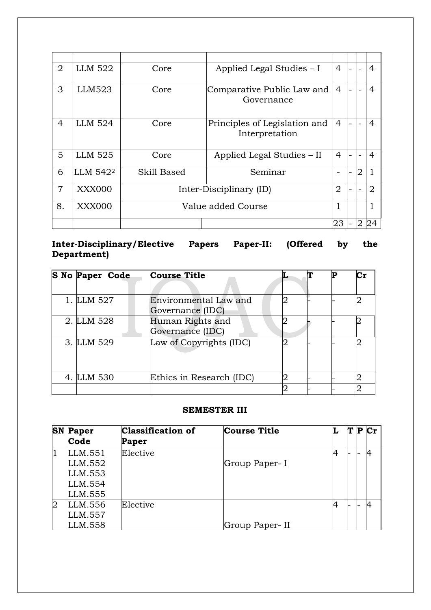| $\overline{2}$ | LLM 522              | Core        | Applied Legal Studies – I                       |                |                | 4              |
|----------------|----------------------|-------------|-------------------------------------------------|----------------|----------------|----------------|
| 3              | LLM523               | Core        | Comparative Public Law and<br>Governance        |                |                | 4              |
| 4              | <b>LLM 524</b>       | Core        | Principles of Legislation and<br>Interpretation |                |                | 4              |
| 5              | LLM 525              | Core        | Applied Legal Studies – II                      | $\overline{4}$ |                | 4              |
| 6              | LLM 542 <sup>2</sup> | Skill Based | Seminar                                         |                | 2              |                |
| $\overline{7}$ | <b>XXX000</b>        |             | Inter-Disciplinary (ID)                         |                |                | $\overline{2}$ |
| 8.             | XXX000               |             | Value added Course                              | 1              |                |                |
|                |                      |             |                                                 | 23             | $\overline{2}$ | 24             |

## **Inter-Disciplinary/Elective Papers Paper-II: (Offered by the Department)**

| S No Paper Code | <b>Course Title</b>                       |  |  |
|-----------------|-------------------------------------------|--|--|
| 1. LLM 527      | Environmental Law and<br>Governance (IDC) |  |  |
| 2. LLM 528      | Human Rights and<br>Governance (IDC)      |  |  |
| 3. LLM 529      | Law of Copyrights (IDC)                   |  |  |
| 4. LLM 530      | Ethics in Research (IDC)                  |  |  |
|                 |                                           |  |  |

### **SEMESTER III**

| <b>SN</b>      | Paper<br>Code                                       | Classification of<br>Paper | <b>Course Title</b> | L | Т | Р | $\mathbf{Cr}$ |
|----------------|-----------------------------------------------------|----------------------------|---------------------|---|---|---|---------------|
|                | LLM.551<br>LLM.552<br>LLM.553<br>LLM.554<br>LLM.555 | Elective                   | Group Paper-I       | 4 |   |   |               |
| $\overline{2}$ | LLM.556<br>LLM.557<br>LLM.558                       | Elective                   | Group Paper-II      | 4 |   |   |               |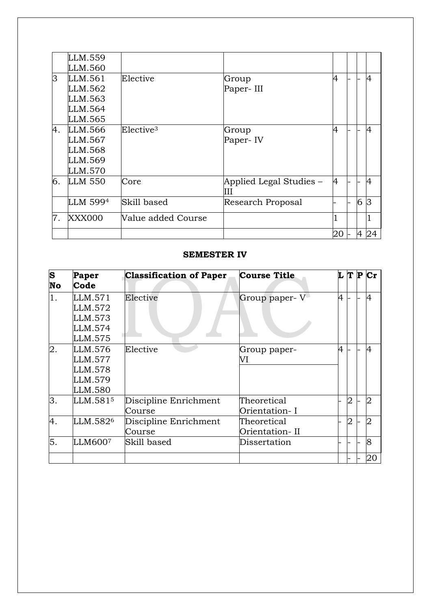|    | LLM.559        |                       |                              |    |                |                |
|----|----------------|-----------------------|------------------------------|----|----------------|----------------|
|    | LLM.560        |                       |                              |    |                |                |
| 3  | LLM.561        | Elective              | Group                        | 4  |                | $\overline{A}$ |
|    | LLM.562        |                       | Paper-III                    |    |                |                |
|    | LLM.563        |                       |                              |    |                |                |
|    | LLM.564        |                       |                              |    |                |                |
|    | LLM.565        |                       |                              |    |                |                |
| 4. | LLM.566        | Elective <sup>3</sup> | Group                        | 4  |                | 4              |
|    | LLM.567        |                       | Paper-IV                     |    |                |                |
|    | LLM.568        |                       |                              |    |                |                |
|    | LLM.569        |                       |                              |    |                |                |
|    | LLM.570        |                       |                              |    |                |                |
| 6. | <b>LLM 550</b> | Core                  | Applied Legal Studies –<br>Ш | 4  |                | $\overline{A}$ |
|    | LLM 5994       | Skill based           | Research Proposal            |    | 6              | 3              |
| 7. | <b>XXX000</b>  | Value added Course    |                              |    |                |                |
|    |                |                       |                              | 20 | $\overline{A}$ | 24             |

### **SEMESTER IV**

| S<br>No | Paper<br>Code        | <b>Classification of Paper</b> | <b>Course Title</b> |   |   | $L$ T P $Cr$   |
|---------|----------------------|--------------------------------|---------------------|---|---|----------------|
| 1.      | LLM.571              | Elective                       | Group paper-V       | 4 |   | 4              |
|         | LLM.572              |                                |                     |   |   |                |
|         | LLM.573              |                                |                     |   |   |                |
|         | LLM.574              |                                |                     |   |   |                |
|         | LLM.575              |                                |                     |   |   |                |
| 2.      | LLM.576              | Elective                       | Group paper-        | 4 |   | $\overline{4}$ |
|         | LLM.577              |                                | VI                  |   |   |                |
|         | LLM.578              |                                |                     |   |   |                |
|         | LLM.579              |                                |                     |   |   |                |
|         | LLM.580              |                                |                     |   |   |                |
| 3.      | LLM.5815             | Discipline Enrichment          | Theoretical         |   | 2 | 2              |
|         |                      | Course                         | Orientation- I      |   |   |                |
| 4.      | LLM.582 <sup>6</sup> | Discipline Enrichment          | Theoretical         |   | 2 | $\overline{2}$ |
|         |                      | Course                         | Orientation- II     |   |   |                |
| 5.      | LLM6007              | Skill based                    | Dissertation        |   |   | 8              |
|         |                      |                                |                     |   |   | 20             |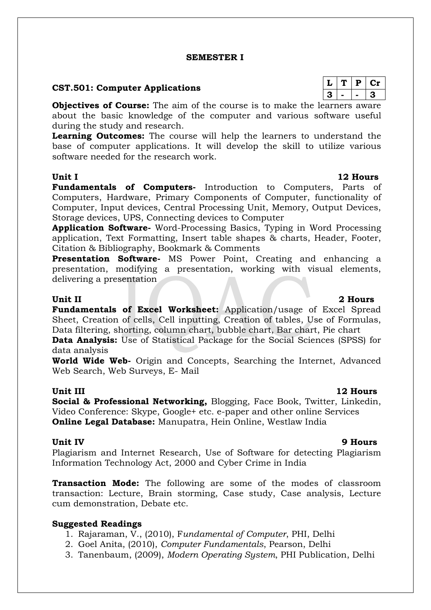### **SEMESTER I**

### **CST.501: Computer Applications**

**Objectives of Course:** The aim of the course is to make the learners aware about the basic knowledge of the computer and various software useful during the study and research.

**Learning Outcomes:** The course will help the learners to understand the base of computer applications. It will develop the skill to utilize various software needed for the research work.

### **Unit I 12 Hours**

**Fundamentals of Computers-** Introduction to Computers, Parts of Computers, Hardware, Primary Components of Computer, functionality of Computer, Input devices, Central Processing Unit, Memory, Output Devices, Storage devices, UPS, Connecting devices to Computer

**Application Software-** Word-Processing Basics, Typing in Word Processing application, Text Formatting, Insert table shapes & charts, Header, Footer, Citation & Bibliography, Bookmark & Comments

**Presentation Software-** MS Power Point, Creating and enhancing a presentation, modifying a presentation, working with visual elements, delivering a presentation

## **Unit II 2 Hours**

**Fundamentals of Excel Worksheet:** Application/usage of Excel Spread Sheet, Creation of cells, Cell inputting, Creation of tables, Use of Formulas, Data filtering, shorting, column chart, bubble chart, Bar chart, Pie chart

**Data Analysis:** Use of Statistical Package for the Social Sciences (SPSS) for data analysis

**World Wide Web-** Origin and Concepts, Searching the Internet, Advanced Web Search, Web Surveys, E- Mail

### **Unit III** 12 **Hours**

**Social & Professional Networking,** Blogging, Face Book, Twitter, Linkedin, Video Conference: Skype, Google+ etc. e-paper and other online Services **Online Legal Database:** Manupatra, Hein Online, Westlaw India

### **Unit IV 9 Hours**

Plagiarism and Internet Research, Use of Software for detecting Plagiarism Information Technology Act, 2000 and Cyber Crime in India

**Transaction Mode:** The following are some of the modes of classroom transaction: Lecture, Brain storming, Case study, Case analysis, Lecture cum demonstration, Debate etc.

### **Suggested Readings**

- 1. Rajaraman, V., (2010), F*undamental of Computer*, PHI, Delhi
- 2. Goel Anita, (2010), *Computer Fundamentals*, Pearson, Delhi
- 3. Tanenbaum, (2009), *Modern Operating System*, PHI Publication, Delhi

|   | ₽ | L 11 |
|---|---|------|
| 3 |   | -2.  |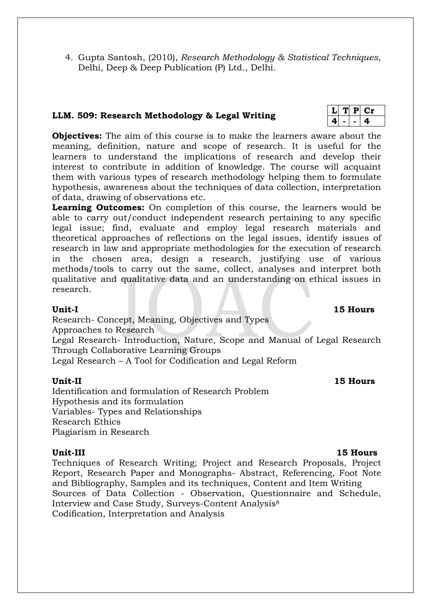4. Gupta Santosh, (2010), *Research Methodology & Statistical Techniques*, Delhi, Deep & Deep Publication (P) Ltd., Delhi.

## **LLM. 509: Research Methodology & Legal Writing**

**Objectives:** The aim of this course is to make the learners aware about the meaning, definition, nature and scope of research. It is useful for the learners to understand the implications of research and develop their interest to contribute in addition of knowledge. The course will acquaint them with various types of research methodology helping them to formulate hypothesis, awareness about the techniques of data collection, interpretation of data, drawing of observations etc.

**Learning Outcomes:** On completion of this course, the learners would be able to carry out/conduct independent research pertaining to any specific legal issue; find, evaluate and employ legal research materials and theoretical approaches of reflections on the legal issues, identify issues of research in law and appropriate methodologies for the execution of research in the chosen area, design a research, justifying use of various methods/tools to carry out the same, collect, analyses and interpret both qualitative and qualitative data and an understanding on ethical issues in research.

Research- Concept, Meaning, Objectives and Types Approaches to Research

Legal Research- Introduction, Nature, Scope and Manual of Legal Research Through Collaborative Learning Groups

Legal Research – A Tool for Codification and Legal Reform

### **Unit-II 15 Hours**

Identification and formulation of Research Problem Hypothesis and its formulation Variables- Types and Relationships Research Ethics Plagiarism in Research

### **Unit-III 15 Hours**

Techniques of Research Writing; Project and Research Proposals, Project Report, Research Paper and Monographs- Abstract, Referencing, Foot Note and Bibliography, Samples and its techniques, Content and Item Writing Sources of Data Collection - Observation, Questionnaire and Schedule, Interview and Case Study, Surveys-Content Analysis<sup>8</sup> Codification, Interpretation and Analysis

### $T$  **P**  $Cr$ **4 - - 4**

## **Unit-I 15 Hours**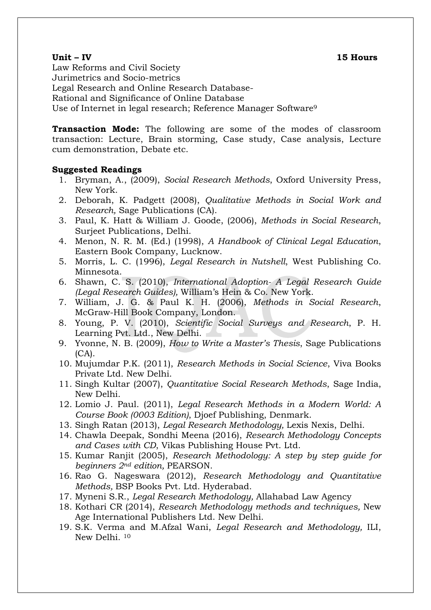### **Unit – IV 15 Hours**

Law Reforms and Civil Society Jurimetrics and Socio-metrics Legal Research and Online Research Database-Rational and Significance of Online Database Use of Internet in legal research; Reference Manager Software<sup>9</sup>

**Transaction Mode:** The following are some of the modes of classroom transaction: Lecture, Brain storming, Case study, Case analysis, Lecture cum demonstration, Debate etc.

### **Suggested Readings**

- 1. Bryman, A., (2009), *Social Research Methods*, Oxford University Press, New York.
- 2. Deborah, K. Padgett (2008), *Qualitative Methods in Social Work and Research,* Sage Publications (CA).
- 3. Paul, K. Hatt & William J. Goode, (2006), *Methods in Social Research*, Surjeet Publications, Delhi.
- 4. Menon, N. R. M. (Ed.) (1998), *A Handbook of Clinical Legal Education*, Eastern Book Company, Lucknow.
- 5. Morris, L. C. (1996), *Legal Research in Nutshell*, West Publishing Co. Minnesota.
- 6. Shawn, C. S. (2010), *International Adoption- A Legal Research Guide (Legal Research Guides),* William's Hein & Co. New York.
- 7. William, J. G. & Paul K. H. (2006), *Methods in Social Research*, McGraw-Hill Book Company, London.
- 8. Young, P. V. (2010), *Scientific Social Surveys and Research*, P. H. Learning Pvt. Ltd., New Delhi.
- 9. Yvonne, N. B. (2009), *How to Write a Master's Thesis*, Sage Publications  $(CA)$ .
- 10. Mujumdar P.K. (2011), *Research Methods in Social Science*, Viva Books Private Ltd. New Delhi.
- 11. Singh Kultar (2007), *Quantitative Social Research Methods*, Sage India, New Delhi.
- 12. Lomio J. Paul. (2011), *Legal Research Methods in a Modern World: A Course Book (0003 Edition)*, Djoef Publishing, Denmark.
- 13. Singh Ratan (2013), *Legal Research Methodology,* Lexis Nexis, Delhi.
- 14. Chawla Deepak, Sondhi Meena (2016), *Research Methodology Concepts and Cases with CD*, Vikas Publishing House Pvt. Ltd.
- 15. Kumar Ranjit (2005), *Research Methodology: A step by step guide for beginners 2nd edition,* PEARSON.
- 16. Rao G. Nageswara (2012), *Research Methodology and Quantitative Methods,* BSP Books Pvt. Ltd. Hyderabad.
- 17. Myneni S.R., *Legal Research Methodology,* Allahabad Law Agency
- 18. Kothari CR (2014), *Research Methodology methods and techniques,* New Age International Publishers Ltd. New Delhi.
- 19. S.K. Verma and M.Afzal Wani, *Legal Research and Methodology,* ILI, New Delhi. 10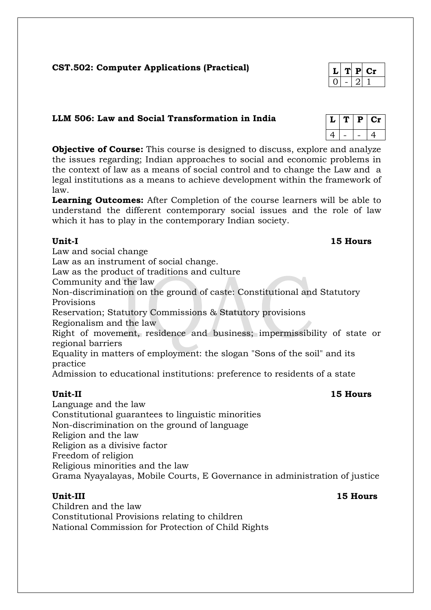## **CST.502: Computer Applications (Practical)**

## **LLM 506: Law and Social Transformation in India**

**Objective of Course:** This course is designed to discuss, explore and analyze the issues regarding; Indian approaches to social and economic problems in the context of law as a means of social control and to change the Law and a legal institutions as a means to achieve development within the framework of law.

**Learning Outcomes:** After Completion of the course learners will be able to understand the different contemporary social issues and the role of law which it has to play in the contemporary Indian society.

**Unit-I 15 Hours** Law and social change Law as an instrument of social change. Law as the product of traditions and culture Community and the law Non-discrimination on the ground of caste: Constitutional and Statutory Provisions Reservation; Statutory Commissions & Statutory provisions Regionalism and the law Right of movement, residence and business; impermissibility of state or regional barriers Equality in matters of employment: the slogan "Sons of the soil" and its practice Admission to educational institutions: preference to residents of a state **Unit-II 15 Hours**

Language and the law Constitutional guarantees to linguistic minorities Non-discrimination on the ground of language Religion and the law Religion as a divisive factor Freedom of religion Religious minorities and the law Grama Nyayalayas, Mobile Courts, E Governance in administration of justice

**Unit-III 15 Hours** Children and the law Constitutional Provisions relating to children National Commission for Protection of Child Rights

| L | T | Р | Сr |
|---|---|---|----|
|   |   |   | Δ. |

| 4. | P | L D |
|----|---|-----|
|    |   |     |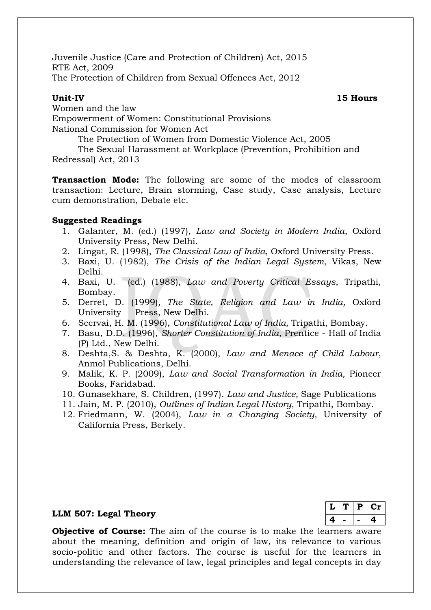Juvenile Justice (Care and Protection of Children) Act, 2015 RTE Act, 2009 The Protection of Children from Sexual Offences Act, 2012

**Unit-IV 15 Hours**

Women and the law Empowerment of Women: Constitutional Provisions National Commission for Women Act

The Protection of Women from Domestic Violence Act, 2005

The Sexual Harassment at Workplace (Prevention, Prohibition and Redressal) Act, 2013

**Transaction Mode:** The following are some of the modes of classroom transaction: Lecture, Brain storming, Case study, Case analysis, Lecture cum demonstration, Debate etc.

### **Suggested Readings**

- 1. Galanter, M. (ed.) (1997), *Law and Society in Modern India*, Oxford University Press, New Delhi.
- 2. Lingat, R. (1998), *The Classical Law of India*, Oxford University Press.
- 3. Baxi, U. (1982), *The Crisis of the Indian Legal System*, Vikas, New Delhi.
- 4. Baxi, U. (ed.) (1988)*, Law and Poverty Critical Essays*, Tripathi, Bombay.
- 5. Derret, D. (1999)*, The State, Religion and Law in India,* Oxford University Press, New Delhi.
- 6. Seervai, H. M. (1996), *Constitutional Law of India,* Tripathi, Bombay.
- 7. Basu, D.D. (1996), *Shorter Constitution of India,* Prentice Hall of India (P) Ltd., New Delhi.
- 8. Deshta,S. & Deshta, K. (2000), *Law and Menace of Child Labour*, Anmol Publications, Delhi.
- 9. Malik, K. P. (2009), *Law and Social Transformation in India,* Pioneer Books, Faridabad.
- 10. Gunasekhare, S. Children, (1997). *Law and Justice,* Sage Publications
- 11. Jain, M. P. (2010), *Outlines of Indian Legal History*, Tripathi, Bombay.
- 12. Friedmann, W. (2004), *Law in a Changing Society,* University of California Press, Berkely.

### **LLM 507: Legal Theory**

| L  | Р | Cт |
|----|---|----|
| c. |   | 4. |

**Objective of Course:** The aim of the course is to make the learners aware about the meaning, definition and origin of law, its relevance to various socio-politic and other factors. The course is useful for the learners in understanding the relevance of law, legal principles and legal concepts in day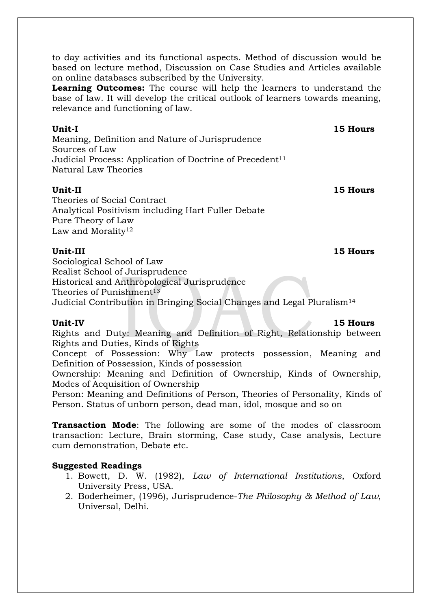to day activities and its functional aspects. Method of discussion would be based on lecture method, Discussion on Case Studies and Articles available on online databases subscribed by the University.

**Learning Outcomes:** The course will help the learners to understand the base of law. It will develop the critical outlook of learners towards meaning, relevance and functioning of law.

**Unit-I** 15 Hours

Meaning, Definition and Nature of Jurisprudence Sources of Law Judicial Process: Application of Doctrine of Precedent<sup>11</sup> Natural Law Theories

## **Unit-II 15 Hours**

Theories of Social Contract Analytical Positivism including Hart Fuller Debate Pure Theory of Law Law and Morality<sup>12</sup>

**Unit-III 15 Hours**

Sociological School of Law Realist School of Jurisprudence Historical and Anthropological Jurisprudence Theories of Punishment<sup>13</sup> Judicial Contribution in Bringing Social Changes and Legal Pluralism<sup>14</sup>

## **Unit-IV 15 Hours**

Rights and Duty: Meaning and Definition of Right, Relationship between Rights and Duties, Kinds of Rights

Concept of Possession: Why Law protects possession, Meaning and Definition of Possession, Kinds of possession

Ownership: Meaning and Definition of Ownership, Kinds of Ownership, Modes of Acquisition of Ownership

Person: Meaning and Definitions of Person, Theories of Personality, Kinds of Person. Status of unborn person, dead man, idol, mosque and so on

**Transaction Mode**: The following are some of the modes of classroom transaction: Lecture, Brain storming, Case study, Case analysis, Lecture cum demonstration, Debate etc.

## **Suggested Readings**

- 1. Bowett, D. W. (1982), *Law of International Institutions*, Oxford University Press, USA.
- 2. Boderheimer, (1996), Jurisprudence-*The Philosophy & Method of Law*, Universal, Delhi.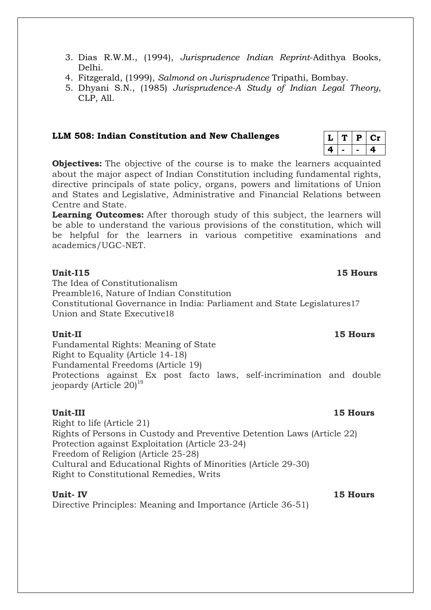- 3. Dias R.W.M., (1994), *Jurisprudence Indian Reprint*-Adithya Books, Delhi.
- 4. Fitzgerald, (1999), *Salmond on Jurisprudence* Tripathi, Bombay.
- 5. Dhyani S.N., (1985) *Jurisprudence-A Study of Indian Legal Theory*, CLP, All.

### **LLM 508: Indian Constitution and New Challenges**

**Objectives:** The objective of the course is to make the learners acquainted about the major aspect of Indian Constitution including fundamental rights, directive principals of state policy, organs, powers and limitations of Union and States and Legislative, Administrative and Financial Relations between Centre and State.

**Learning Outcomes:** After thorough study of this subject, the learners will be able to understand the various provisions of the constitution, which will be helpful for the learners in various competitive examinations and academics/UGC-NET.

### **Unit-I15** 15 Hours

The Idea of Constitutionalism Preamble16, Nature of Indian Constitution Constitutional Governance in India: Parliament and State Legislatures17 Union and State Executive18

### **Unit-II 15 Hours**

Fundamental Rights: Meaning of State Right to Equality (Article 14-18) Fundamental Freedoms (Article 19) Protections against Ex post facto laws, self-incrimination and double jeopardy (Article  $20^{19}$ )

**Unit-III 15 Hours** Right to life (Article 21) Rights of Persons in Custody and Preventive Detention Laws (Article 22) Protection against Exploitation (Article 23-24) Freedom of Religion (Article 25-28) Cultural and Educational Rights of Minorities (Article 29-30) Right to Constitutional Remedies, Writs

Directive Principles: Meaning and Importance (Article 36-51)

 $L$  | **T** | **P** |  $Cr$ **4 - - 4**

### **Unit- IV 15 Hours**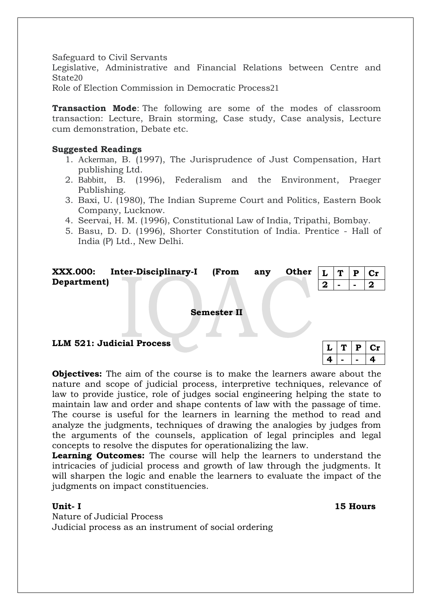Safeguard to Civil Servants

Legislative, Administrative and Financial Relations between Centre and State20

Role of Election Commission in Democratic Process21

**Transaction Mode**: The following are some of the modes of classroom transaction: Lecture, Brain storming, Case study, Case analysis, Lecture cum demonstration, Debate etc.

### **Suggested Readings**

- 1. [Ackerman](http://en.wikipedia.org/wiki/Bruce_Ackerman), B. (1997), The Jurisprudence of Just Compensation, Hart publishing Ltd.
- 2. [Babbitt](http://en.wikipedia.org/wiki/Bruce_Babbitt), B. (1996), Federalism and the Environment, Praeger Publishing.
- 3. Baxi, U. (1980), The Indian Supreme Court and Politics, Eastern Book Company, Lucknow.
- 4. Seervai, H. M. (1996), Constitutional Law of India, Tripathi, Bombay.
- 5. Basu, D. D. (1996), Shorter Constitution of India. Prentice Hall of India (P) Ltd., New Delhi.

| <b>XXX.000:</b> | <b>Inter-Disciplinary-I</b> | (From | anv | Other $ L T P$ |  | $ $ Cr |
|-----------------|-----------------------------|-------|-----|----------------|--|--------|
| Department)     |                             |       |     |                |  |        |
|                 |                             |       |     |                |  |        |

**Semester II**

|  | LLM 521: Judicial Process |
|--|---------------------------|
|--|---------------------------|

|  | D | . |
|--|---|---|
|  |   |   |

**Objectives:** The aim of the course is to make the learners aware about the nature and scope of judicial process, interpretive techniques, relevance of law to provide justice, role of judges social engineering helping the state to maintain law and order and shape contents of law with the passage of time. The course is useful for the learners in learning the method to read and analyze the judgments, techniques of drawing the analogies by judges from the arguments of the counsels, application of legal principles and legal concepts to resolve the disputes for operationalizing the law.

**Learning Outcomes:** The course will help the learners to understand the intricacies of judicial process and growth of law through the judgments. It will sharpen the logic and enable the learners to evaluate the impact of the judgments on impact constituencies.

Nature of Judicial Process Judicial process as an instrument of social ordering

**Unit- I 15 Hours**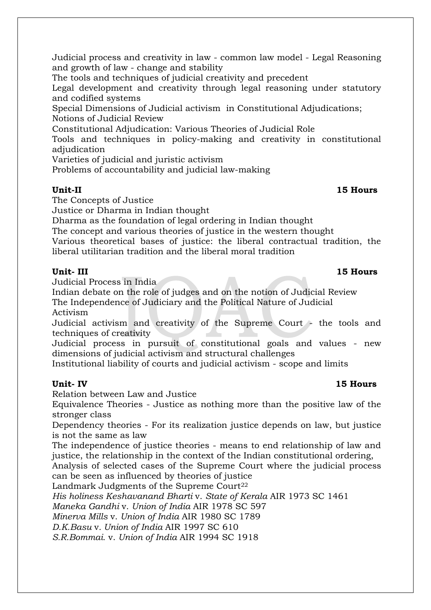Judicial process and creativity in law - common law model - Legal Reasoning and growth of law - change and stability

The tools and techniques of judicial creativity and precedent

Legal development and creativity through legal reasoning under statutory and codified systems

Special Dimensions of Judicial activism in Constitutional Adjudications; Notions of Judicial Review

Constitutional Adjudication: Various Theories of Judicial Role

Tools and techniques in policy-making and creativity in constitutional adjudication

Varieties of judicial and juristic activism

Problems of accountability and judicial law-making

## **Unit-II 15 Hours**

The Concepts of Justice

Justice or Dharma in Indian thought

Dharma as the foundation of legal ordering in Indian thought

The concept and various theories of justice in the western thought

Various theoretical bases of justice: the liberal contractual tradition, the liberal utilitarian tradition and the liberal moral tradition

Judicial Process in India

Indian debate on the role of judges and on the notion of Judicial Review The Independence of Judiciary and the Political Nature of Judicial

Activism

Judicial activism and creativity of the Supreme Court - the tools and techniques of creativity

Judicial process in pursuit of constitutional goals and values - new dimensions of judicial activism and structural challenges

Institutional liability of courts and judicial activism - scope and limits

## **Unit- IV 15 Hours**

Relation between Law and Justice

Equivalence Theories - Justice as nothing more than the positive law of the stronger class

Dependency theories - For its realization justice depends on law, but justice is not the same as law

The independence of justice theories - means to end relationship of law and justice, the relationship in the context of the Indian constitutional ordering,

Analysis of selected cases of the Supreme Court where the judicial process can be seen as influenced by theories of justice

Landmark Judgments of the Supreme Court<sup>22</sup>

*His holiness Keshavanand Bharti* v. *State of Kerala* AIR 1973 SC 1461

*Maneka Gandhi* v. *Union of India* AIR 1978 SC 597

*Minerva Mills* v. *Union of India* AIR 1980 SC 1789

*D.K.Basu* v*. Union of India* AIR 1997 SC 610

*S.R.Bommai.* v. *Union of India* AIR 1994 SC 1918

## **Unit- III 15 Hours**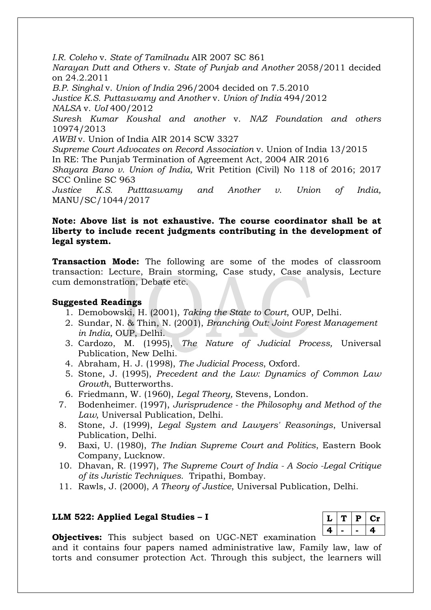*I.R. Coleho* v. *State of Tamilnadu* AIR 2007 SC 861 *Narayan Dutt and Others* v. *State of Punjab and Another* 2058/2011 decided on 24.2.2011 *B.P. Singhal* v. *Union of India* 296/2004 decided on 7.5.2010 *Justice K.S. Puttaswamy and Another* v. *Union of India* 494/2012 *NALSA* v. *UoI* 400/2012 *Suresh Kumar Koushal and another* v. *NAZ Foundation and others*  10974/2013 *AWBI* v. Union of India AIR 2014 SCW 3327 *Supreme Court Advocates on Record Association* v. Union of India 13/2015 In RE: The Punjab Termination of Agreement Act, 2004 AIR 2016 *Shayara Bano v. Union of India,* Writ Petition (Civil) No 118 of 2016; 2017 SCC Online SC 963 *Justice K.S. Putttaswamy and Another v. Union of India,* MANU/SC/1044/2017

## **Note: Above list is not exhaustive. The course coordinator shall be at liberty to include recent judgments contributing in the development of legal system.**

**Transaction Mode:** The following are some of the modes of classroom transaction: Lecture, Brain storming, Case study, Case analysis, Lecture cum demonstration, Debate etc.

### **Suggested Readings**

- 1. Demobowski, H. (2001), *Taking the State to Court*, OUP, Delhi.
- 2. Sundar, N. & Thin, N. (2001), *Branching Out: Joint Forest Management in India,* OUP, Delhi.
- 3. Cardozo, M. (1995), *The Nature of Judicial Process,* Universal Publication, New Delhi.
- 4. Abraham, H. J. (1998), *The Judicial Process*, Oxford.
- 5. Stone, J. (1995), *Precedent and the Law: Dynamics of Common Law Growth*, Butterworths.
- 6. Friedmann, W. (1960), *Legal Theory,* Stevens, London.
- 7. Bodenheimer. (1997), *Jurisprudence - the Philosophy and Method of the Law*, Universal Publication, Delhi.
- 8. Stone, J. (1999), *Legal System and Lawyers' Reasonings*, Universal Publication, Delhi.
- 9. Baxi, U. (1980), *The Indian Supreme Court and Politics*, Eastern Book Company, Lucknow.
- 10. Dhavan, R. (1997), *The Supreme Court of India - A Socio -Legal Critique of its Juristic Techniques.* Tripathi, Bombay.
- 11. Rawls, J. (2000), *A Theory of Justice*, Universal Publication, Delhi.

### **LLM 522: Applied Legal Studies – I**

|    | Р | L E1 |
|----|---|------|
| Д. |   | 41   |

**Objectives:** This subject based on UGC-NET examination

and it contains four papers named administrative law, Family law, law of torts and consumer protection Act. Through this subject, the learners will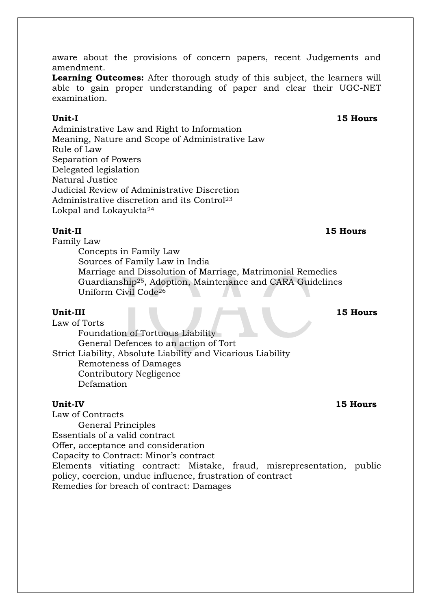aware about the provisions of concern papers, recent Judgements and amendment.

**Learning Outcomes:** After thorough study of this subject, the learners will able to gain proper understanding of paper and clear their UGC-NET examination.

Administrative Law and Right to Information Meaning, Nature and Scope of Administrative Law Rule of Law Separation of Powers Delegated legislation Natural Justice Judicial Review of Administrative Discretion Administrative discretion and its Control<sup>23</sup> Lokpal and Lokayukta<sup>24</sup>

### **Unit-II 15 Hours**

Family Law

Concepts in Family Law Sources of Family Law in India Marriage and Dissolution of Marriage, Matrimonial Remedies Guardianship25, Adoption, Maintenance and CARA Guidelines Uniform Civil Code<sup>26</sup>

### **Unit-III 15 Hours**

Law of Torts Foundation of Tortuous Liability General Defences to an action of Tort Strict Liability, Absolute Liability and Vicarious Liability Remoteness of Damages Contributory Negligence Defamation

Law of Contracts

General Principles

Essentials of a valid contract

Offer, acceptance and consideration

Capacity to Contract: Minor's contract

Elements vitiating contract: Mistake, fraud, misrepresentation, public policy, coercion, undue influence, frustration of contract

Remedies for breach of contract: Damages

### **Unit-IV 15 Hours**

## **Unit-I 15 Hours**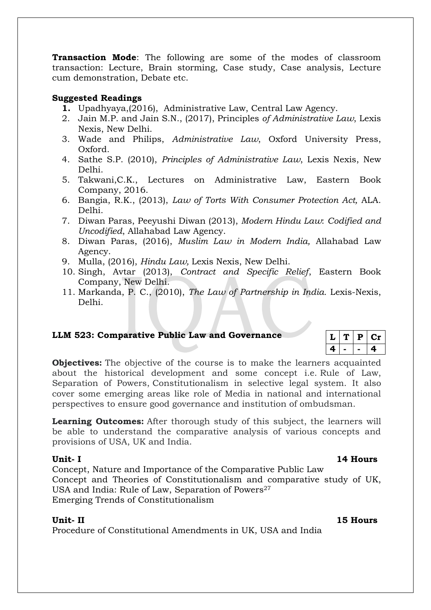**Transaction Mode**: The following are some of the modes of classroom transaction: Lecture, Brain storming, Case study, Case analysis, Lecture cum demonstration, Debate etc.

### **Suggested Readings**

- **1.** Upadhyaya,(2016), Administrative Law, Central Law Agency.
- 2. Jain M.P. and Jain S.N., (2017), Principles *of Administrative Law*, Lexis Nexis, New Delhi.
- 3. Wade and Philips, *Administrative Law*, Oxford University Press, Oxford.
- 4. Sathe S.P. (2010), *Principles of Administrative Law*, Lexis Nexis, New Delhi.
- 5. Takwani,C.K., Lectures on Administrative Law, Eastern Book Company, 2016.
- 6. Bangia, R.K., (2013), *Law of Torts With Consumer Protection Act,* ALA. Delhi.
- 7. Diwan Paras, Peeyushi Diwan (2013), *Modern Hindu Law*: *Codified and Uncodified*, Allahabad Law Agency.
- 8. Diwan Paras, (2016), *Muslim Law in Modern India,* Allahabad Law Agency.
- 9. Mulla, (2016), *Hindu Law,* Lexis Nexis, New Delhi.
- 10. Singh, Avtar (2013), *Contract and Specific Relief*, Eastern Book Company, New Delhi.
- 11. Markanda, P. C., (2010), *The Law of Partnership in India.* Lexis-Nexis, Delhi.

### **LLM 523: Comparative Public Law and Governance**

|   | مد |  |
|---|----|--|
| ٠ |    |  |

**Objectives:** The objective of the course is to make the learners acquainted about the historical development and some concept i.e. Rule of Law, Separation of Powers, Constitutionalism in selective legal system. It also cover some emerging areas like role of Media in national and international perspectives to ensure good governance and institution of ombudsman.

**Learning Outcomes:** After thorough study of this subject, the learners will be able to understand the comparative analysis of various concepts and provisions of USA, UK and India.

**Unit- I 14 Hours**

Concept, Nature and Importance of the Comparative Public Law Concept and Theories of Constitutionalism and comparative study of UK, USA and India: Rule of Law, Separation of Powers<sup>27</sup> Emerging Trends of Constitutionalism

Procedure of Constitutional Amendments in UK, USA and India

### **Unit- II 15 Hours**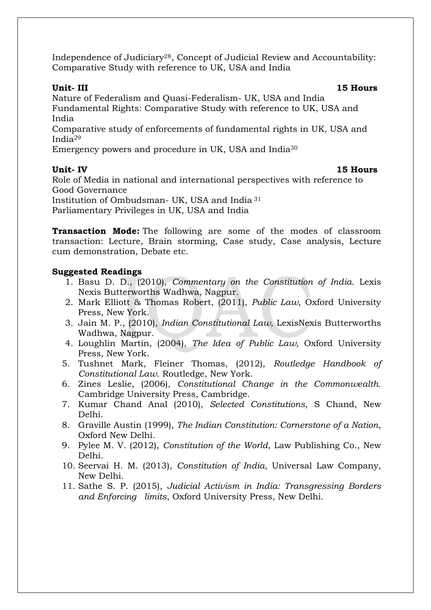Independence of Judiciary28, Concept of Judicial Review and Accountability: Comparative Study with reference to UK, USA and India

**Unit- III 15 Hours**

Nature of Federalism and Quasi-Federalism- UK, USA and India Fundamental Rights: Comparative Study with reference to UK, USA and India

Comparative study of enforcements of fundamental rights in UK, USA and India<sup>29</sup>

Emergency powers and procedure in UK, USA and India<sup>30</sup>

### **Unit- IV 15 Hours**

Role of Media in national and international perspectives with reference to Good Governance

Institution of Ombudsman- UK, USA and India <sup>31</sup>

Parliamentary Privileges in UK, USA and India

**Transaction Mode:** The following are some of the modes of classroom transaction: Lecture, Brain storming, Case study, Case analysis, Lecture cum demonstration, Debate etc.

## **Suggested Readings**

- 1. Basu D. D., (2010), *Commentary on the Constitution of India.* Lexis Nexis Butterworths Wadhwa, Nagpur.
- 2. Mark Elliott & Thomas Robert, (2011), *Public Law*, Oxford University Press, New York.
- 3. Jain M. P., (2010), *Indian Constitutional Law*, LexisNexis Butterworths Wadhwa, Nagpur.
- 4. Loughlin Martin, (2004), *The Idea of Public Law,* Oxford University Press, New York.
- 5. Tushnet Mark, Fleiner Thomas, (2012), *Routledge Handbook of Constitutional Law*. Routledge, New York.
- 6. Zines Leslie, (2006), *Constitutional Change in the Commonwealth.* Cambridge University Press, Cambridge.
- 7. Kumar Chand Anal (2010), *Selected Constitutions*, S Chand, New Delhi.
- 8. Graville Austin (1999), *The Indian Constitution: Cornerstone of a Nation*, Oxford New Delhi.
- 9. Pylee M. V. (2012), *Constitution of the World*, Law Publishing Co., New Delhi.
- 10. Seervai H. M. (2013), *Constitution of India*, Universal Law Company, New Delhi.
- 11. Sathe S. P. (2015), *Judicial Activism in India: Transgressing Borders and Enforcing limits*, Oxford University Press, New Delhi.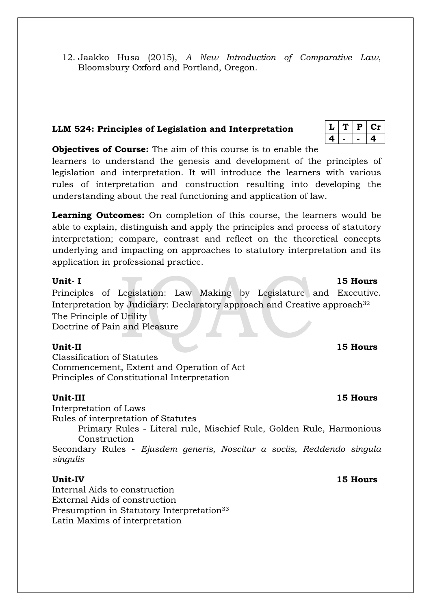12. Jaakko Husa (2015), *A New Introduction of Comparative Law*, Bloomsbury Oxford and Portland, Oregon.

## **LLM 524: Principles of Legislation and Interpretation**

| L  | Ρ | 1 I |
|----|---|-----|
| л. |   | 41  |

**Objectives of Course:** The aim of this course is to enable the learners to understand the genesis and development of the principles of legislation and interpretation. It will introduce the learners with various rules of interpretation and construction resulting into developing the understanding about the real functioning and application of law.

**Learning Outcomes:** On completion of this course, the learners would be able to explain, distinguish and apply the principles and process of statutory interpretation; compare, contrast and reflect on the theoretical concepts underlying and impacting on approaches to statutory interpretation and its application in professional practice.

Principles of Legislation: Law Making by Legislature and Executive. Interpretation by Judiciary: Declaratory approach and Creative approach<sup>32</sup> The Principle of Utility Doctrine of Pain and Pleasure

Classification of Statutes Commencement, Extent and Operation of Act Principles of Constitutional Interpretation

## **Unit-III 15 Hours**

Interpretation of Laws Rules of interpretation of Statutes

Primary Rules - Literal rule, Mischief Rule, Golden Rule, Harmonious Construction

Secondary Rules - *Ejusdem generis, Noscitur a sociis, Reddendo singula singulis*

### **Unit-IV 15 Hours**

Internal Aids to construction External Aids of construction Presumption in Statutory Interpretation<sup>33</sup> Latin Maxims of interpretation

### **Unit-II 15 Hours**

### **Unit- I** 15 Hours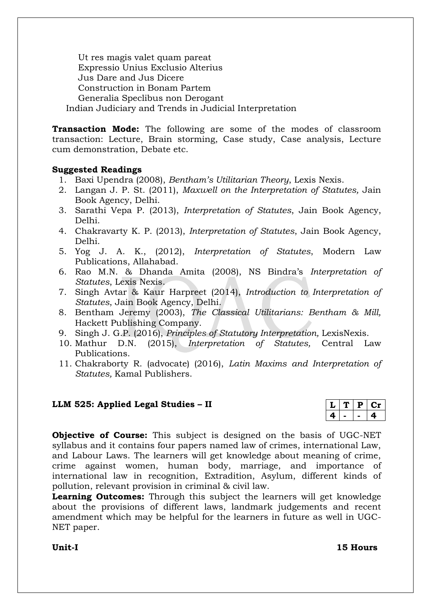Ut res magis valet quam pareat Expressio Unius Exclusio Alterius Jus Dare and Jus Dicere Construction in Bonam Partem Generalia Speclibus non Derogant Indian Judiciary and Trends in Judicial Interpretation

**Transaction Mode:** The following are some of the modes of classroom transaction: Lecture, Brain storming, Case study, Case analysis, Lecture cum demonstration, Debate etc.

## **Suggested Readings**

- 1. Baxi Upendra (2008), *Bentham's Utilitarian Theory*, Lexis Nexis.
- 2. Langan J. P. St. (2011), *Maxwell on the Interpretation of Statutes,* Jain Book Agency, Delhi.
- 3. Sarathi Vepa P. (2013), *Interpretation of Statutes*, Jain Book Agency, Delhi.
- 4. Chakravarty K. P. (2013), *Interpretation of Statutes*, Jain Book Agency, Delhi.
- 5. Yog J. A. K., (2012), *Interpretation of Statutes*, Modern Law Publications, Allahabad.
- 6. Rao M.N. & Dhanda Amita (2008), NS Bindra's *Interpretation of Statutes*, Lexis Nexis.
- 7. Singh Avtar & Kaur Harpreet (2014), *Introduction to Interpretation of Statutes*, Jain Book Agency, Delhi.
- 8. Bentham Jeremy (2003), *The Classical Utilitarians: Bentham & Mill,*  Hackett Publishing Company.
- 9. Singh J. G.P. (2016), *Principles of Statutory Interpretation,* LexisNexis.
- 10. Mathur D.N. (2015), *Interpretation of Statutes,* Central Law Publications.
- 11. Chakraborty R. (advocate) (2016), *Latin Maxims and Interpretation of Statutes,* Kamal Publishers.

## **LLM 525: Applied Legal Studies – II**

|  | ι. |  |
|--|----|--|
|  |    |  |

**Objective of Course:** This subject is designed on the basis of UGC-NET syllabus and it contains four papers named law of crimes, international Law, and Labour Laws. The learners will get knowledge about meaning of crime, crime against women, human body, marriage, and importance of international law in recognition, Extradition, Asylum, different kinds of pollution, relevant provision in criminal & civil law.

**Learning Outcomes:** Through this subject the learners will get knowledge about the provisions of different laws, landmark judgements and recent amendment which may be helpful for the learners in future as well in UGC-NET paper.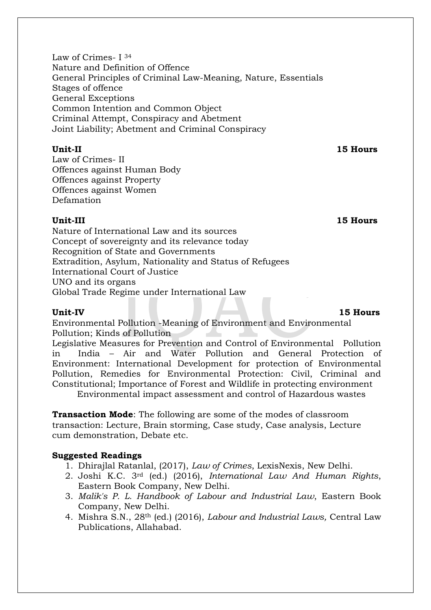Law of Crimes- I <sup>34</sup> Nature and Definition of Offence General Principles of Criminal Law-Meaning, Nature, Essentials Stages of offence General Exceptions Common Intention and Common Object Criminal Attempt, Conspiracy and Abetment Joint Liability; Abetment and Criminal Conspiracy

### **Unit-II 15 Hours**

Law of Crimes- II Offences against Human Body Offences against Property Offences against Women Defamation

**Unit-III 15 Hours**

Nature of International Law and its sources Concept of sovereignty and its relevance today Recognition of State and Governments Extradition, Asylum, Nationality and Status of Refugees International Court of Justice UNO and its organs Global Trade Regime under International Law

**Unit-IV 15 Hours**

Environmental Pollution -Meaning of Environment and Environmental Pollution; Kinds of Pollution

Legislative Measures for Prevention and Control of Environmental Pollution in India – Air and Water Pollution and General Protection of Environment: International Development for protection of Environmental Pollution, Remedies for Environmental Protection: Civil, Criminal and Constitutional; Importance of Forest and Wildlife in protecting environment

Environmental impact assessment and control of Hazardous wastes

**Transaction Mode**: The following are some of the modes of classroom transaction: Lecture, Brain storming, Case study, Case analysis, Lecture cum demonstration, Debate etc.

### **Suggested Readings**

- 1. Dhirajlal Ratanlal, (2017), *Law of Crimes*, LexisNexis, New Delhi.
- 2. Joshi K.C. 3rd (ed.) (2016), *International Law And Human Rights*, Eastern Book Company, New Delhi.
- 3. *Malik's P. L. Handbook of Labour and Industrial Law*, Eastern Book Company, New Delhi.
- 4. Mishra S.N., 28th (ed.) (2016), *Labour and Industrial Laws,* Central Law Publications, Allahabad.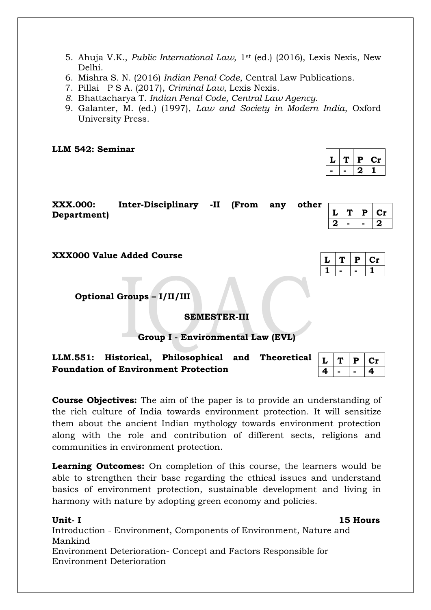- 5. Ahuja V.K., *Public International Law,* 1st (ed.) (2016), Lexis Nexis, New Delhi.
- 6. Mishra S. N. (2016) *Indian Penal Code*, Central Law Publications.
- 7. [Pillai P S A. \(2017\),](https://www.amazon.in/P-S-Pillais-Criminal-Law/dp/8131251632/ref=sr_1_5?s=books&ie=UTF8&qid=1516610455&sr=1-5&keywords=ipc) *Criminal Law*, Lexis Nexis.
- *8.* Bhattacharya T. *[Indian Penal Code, Central Law Agency.](https://www.amazon.in/INDIAN-PENAL-CODE-8th-2014/dp/819294834X/ref=sr_1_2?s=books&ie=UTF8&qid=1516610836&sr=1-2&refinements=p_27%3AT+Bhattacharya)*
- 9. Galanter, M. (ed.) (1997), *Law and Society in Modern India*, Oxford University Press.

**LLM 542: Seminar**

|  | P | C 11 |
|--|---|------|
|  |   |      |

 $L | T | P | Cr$ **1 - - 1**

| <b>XXX.000:</b> |  |  |              |  |  |
|-----------------|--|--|--------------|--|--|
|                 |  |  |              |  |  |
| Department)     |  |  |              |  |  |
|                 |  |  | $ 2  -  -2 $ |  |  |
|                 |  |  |              |  |  |

**XXX000 Value Added Course** 

**Optional Groups – I/II/III**

**SEMESTER-III**

### **Group I - Environmental Law (EVL)**

**LLM.551: Historical, Philosophical and Theoretical Foundation of Environment Protection**   $L | T | P | Cr$ **4 - - 4**

**Course Objectives:** The aim of the paper is to provide an understanding of the rich culture of India towards environment protection. It will sensitize them about the ancient Indian mythology towards environment protection along with the role and contribution of different sects, religions and communities in environment protection.

**Learning Outcomes:** On completion of this course, the learners would be able to strengthen their base regarding the ethical issues and understand basics of environment protection, sustainable development and living in harmony with nature by adopting green economy and policies.

**Unit- I 15 Hours** Introduction - Environment, Components of Environment, Nature and Mankind Environment Deterioration- Concept and Factors Responsible for Environment Deterioration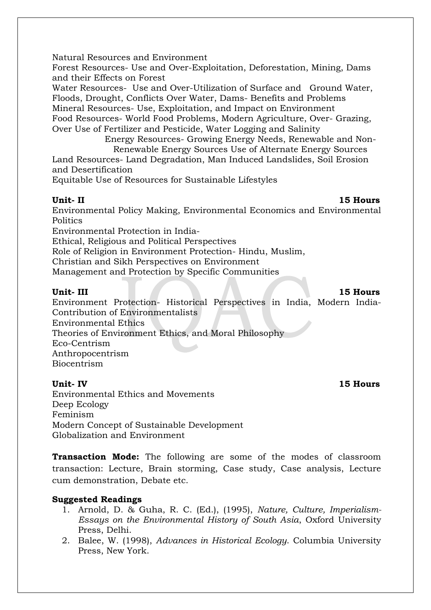Natural Resources and Environment

Forest Resources- Use and Over-Exploitation, Deforestation, Mining, Dams and their Effects on Forest

Water Resources- Use and Over-Utilization of Surface and Ground Water, Floods, Drought, Conflicts Over Water, Dams- Benefits and Problems Mineral Resources- Use, Exploitation, and Impact on Environment Food Resources- World Food Problems, Modern Agriculture, Over- Grazing, Over Use of Fertilizer and Pesticide, Water Logging and Salinity

 Energy Resources- Growing Energy Needs, Renewable and Non- Renewable Energy Sources Use of Alternate Energy Sources

Land Resources- Land Degradation, Man Induced Landslides, Soil Erosion and Desertification

Equitable Use of Resources for Sustainable Lifestyles

**Unit- II 15 Hours**

Environmental Policy Making, Environmental Economics and Environmental Politics

Environmental Protection in India-

Ethical, Religious and Political Perspectives

Role of Religion in Environment Protection- Hindu, Muslim,

Christian and Sikh Perspectives on Environment

Management and Protection by Specific Communities

### **Unit- III 15 Hours**

Environment Protection- Historical Perspectives in India, Modern India-Contribution of Environmentalists

Environmental Ethics

Theories of Environment Ethics, and Moral Philosophy

Eco-Centrism

Anthropocentrism Biocentrism

Environmental Ethics and Movements Deep Ecology Feminism Modern Concept of Sustainable Development Globalization and Environment

**Transaction Mode:** The following are some of the modes of classroom transaction: Lecture, Brain storming, Case study, Case analysis, Lecture cum demonstration, Debate etc.

### **Suggested Readings**

- 1. Arnold, D. & Guha, R. C. (Ed.), (1995), *Nature, Culture, Imperialism-Essays on the Environmental History of South Asia*, Oxford University Press, Delhi.
- 2. Balee, W. (1998), *Advances in Historical Ecology*. Columbia University Press, New York.

### **Unit- IV 15 Hours**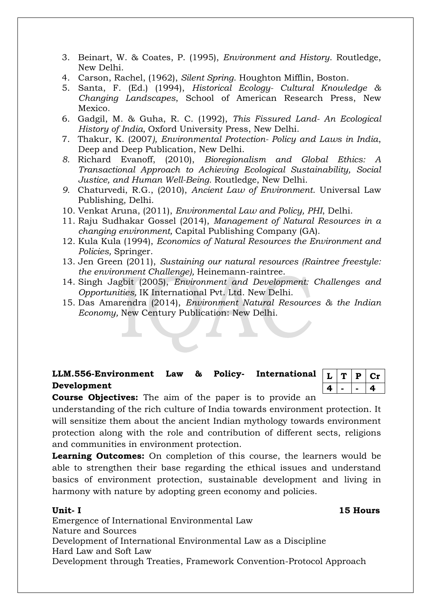- 3. Beinart, W. & Coates, P. (1995), *Environment and History*. Routledge, New Delhi.
- 4. Carson, Rachel, (1962), *Silent Spring*. Houghton Mifflin, Boston.
- 5. Santa, F. (Ed.) (1994), *Historical Ecology- Cultural Knowledge & Changing Landscapes*, School of American Research Press, New Mexico.
- 6. Gadgil, M. & Guha, R. C. (1992), *This Fissured Land- An Ecological History of India,* Oxford University Press, New Delhi.
- 7. Thakur, K. (2007*), Environmental Protection- Policy and Laws in India*, Deep and Deep Publication, New Delhi.
- *8.* Richard Evanoff, (2010), *Bioregionalism and Global Ethics: A Transactional Approach to Achieving Ecological Sustainability, Social Justice, and Human Well-Being.* Routledge, New Delhi.
- *9.* Chaturvedi, R.G., (2010), *Ancient Law of Environment*. Universal Law Publishing, Delhi.
- 10. Venkat Aruna, (2011), *Environmental Law and Policy, PHI*, Delhi.
- 11. Raju Sudhakar Gossel (2014), *Management of Natural Resources in a changing environment,* Capital Publishing Company (GA).
- 12. Kula Kula (1994), *Economics of Natural Resources the Environment and Policies,* Springer.
- 13. Jen Green (2011), *Sustaining our natural resources (Raintree freestyle: the environment Challenge),* Heinemann-raintree.
- 14. Singh Jagbit (2005), *Environment and Development: Challenges and Opportunities,* IK International Pvt. Ltd. New Delhi.
- 15. Das Amarendra (2014), *Environment Natural Resources & the Indian Economy,* New Century Publication: New Delhi.

### **LLM.556-Environment Law & Policy- International Development**

 $|L|$  **T**  $|P|$  Cr **4 - - 4**

**Course Objectives:** The aim of the paper is to provide an

understanding of the rich culture of India towards environment protection. It will sensitize them about the ancient Indian mythology towards environment protection along with the role and contribution of different sects, religions and communities in environment protection.

**Learning Outcomes:** On completion of this course, the learners would be able to strengthen their base regarding the ethical issues and understand basics of environment protection, sustainable development and living in harmony with nature by adopting green economy and policies.

**Unit- I 15 Hours**

Emergence of International Environmental Law Nature and Sources Development of International Environmental Law as a Discipline Hard Law and Soft Law Development through Treaties, Framework Convention-Protocol Approach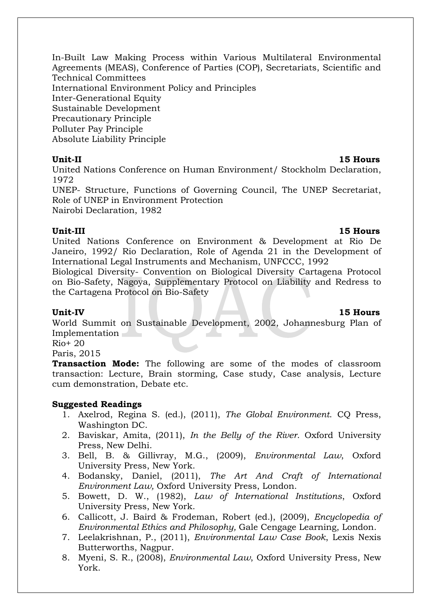In-Built Law Making Process within Various Multilateral Environmental Agreements (MEAS), Conference of Parties (COP), Secretariats, Scientific and Technical Committees International Environment Policy and Principles Inter-Generational Equity Sustainable Development Precautionary Principle Polluter Pay Principle Absolute Liability Principle

### **Unit-II 15 Hours**

United Nations Conference on Human Environment/ Stockholm Declaration, 1972

UNEP- Structure, Functions of Governing Council, The UNEP Secretariat, Role of UNEP in Environment Protection Nairobi Declaration, 1982

### **Unit-III 15 Hours**

United Nations Conference on Environment & Development at Rio De Janeiro, 1992/ Rio Declaration, Role of Agenda 21 in the Development of International Legal Instruments and Mechanism, UNFCCC, 1992

Biological Diversity- Convention on Biological Diversity Cartagena Protocol on Bio-Safety, Nagoya, Supplementary Protocol on Liability and Redress to the Cartagena Protocol on Bio-Safety

### **Unit-IV 15 Hours**

World Summit on Sustainable Development, 2002, Johannesburg Plan of Implementation

Rio+ 20

Paris, 2015

**Transaction Mode:** The following are some of the modes of classroom transaction: Lecture, Brain storming, Case study, Case analysis, Lecture cum demonstration, Debate etc.

### **Suggested Readings**

- 1. Axelrod, Regina S. (ed.), (2011), *The Global Environment*. CQ Press, Washington DC.
- 2. Baviskar, Amita, (2011), *In the Belly of the River*. Oxford University Press, New Delhi.
- 3. Bell, B. & Gillivray, M.G., (2009), *Environmental Law*, Oxford University Press, New York.
- 4. Bodansky, Daniel, (2011), *The Art And Craft of International Environment Law,* Oxford University Press, London.
- 5. Bowett, D. W., (1982), *Law of International Institutions*, Oxford University Press, New York.
- 6. Callicott, J. Baird & Frodeman, Robert (ed.), (2009), *Encyclopedia of Environmental Ethics and Philosophy,* Gale Cengage Learning, London.
- 7. Leelakrishnan, P., (2011), *Environmental Law Case Book*, Lexis Nexis Butterworths, Nagpur.
- 8. Myeni, S. R., (2008), *Environmental Law*, Oxford University Press, New York.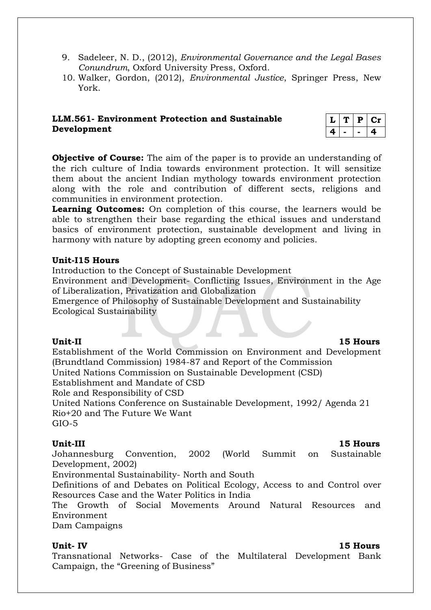- 9. Sadeleer, N. D., (2012), *Environmental Governance and the Legal Bases Conundrum*, Oxford University Press, Oxford.
- 10. Walker, Gordon, (2012), *Environmental Justice*, Springer Press, New York.

## **LLM.561- Environment Protection and Sustainable Development**

|   | D | l 11 |
|---|---|------|
| 4 |   | д.   |

**Objective of Course:** The aim of the paper is to provide an understanding of the rich culture of India towards environment protection. It will sensitize them about the ancient Indian mythology towards environment protection along with the role and contribution of different sects, religions and communities in environment protection.

**Learning Outcomes:** On completion of this course, the learners would be able to strengthen their base regarding the ethical issues and understand basics of environment protection, sustainable development and living in harmony with nature by adopting green economy and policies.

### **Unit-I15 Hours**

Introduction to the Concept of Sustainable Development

Environment and Development- Conflicting Issues, Environment in the Age of Liberalization, Privatization and Globalization

Emergence of Philosophy of Sustainable Development and Sustainability Ecological Sustainability

### **Unit-II 15 Hours** Establishment of the World Commission on Environment and Development (Brundtland Commission) 1984-87 and Report of the Commission United Nations Commission on Sustainable Development (CSD) Establishment and Mandate of CSD Role and Responsibility of CSD United Nations Conference on Sustainable Development, 1992/ Agenda 21 Rio+20 and The Future We Want GIO-5

## **Unit-III 15 Hours**

Johannesburg Convention, 2002 (World Summit on Sustainable Development, 2002)

Environmental Sustainability- North and South

Definitions of and Debates on Political Ecology, Access to and Control over Resources Case and the Water Politics in India

The Growth of Social Movements Around Natural Resources and Environment

Dam Campaigns

**Unit- IV 15 Hours** Transnational Networks- Case of the Multilateral Development Bank Campaign, the "Greening of Business"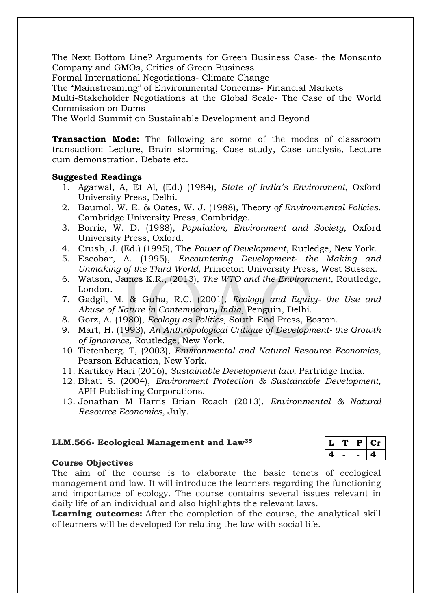The Next Bottom Line? Arguments for Green Business Case- the Monsanto Company and GMOs, Critics of Green Business

Formal International Negotiations- Climate Change

The "Mainstreaming" of Environmental Concerns- Financial Markets

Multi-Stakeholder Negotiations at the Global Scale- The Case of the World Commission on Dams

The World Summit on Sustainable Development and Beyond

**Transaction Mode:** The following are some of the modes of classroom transaction: Lecture, Brain storming, Case study, Case analysis, Lecture cum demonstration, Debate etc.

### **Suggested Readings**

- 1. Agarwal, A, Et Al, (Ed.) (1984), *State of India's Environment*, Oxford University Press, Delhi.
- 2. Baumol, W. E. & Oates, W. J. (1988), Theory *of Environmental Policies*. Cambridge University Press, Cambridge.
- 3. Borrie, W. D. (1988), *Population, Environment and Society*, Oxford University Press, Oxford.
- 4. Crush, J. (Ed.) (1995), The *Power of Development*, Rutledge, New York.
- 5. Escobar, A. (1995), *Encountering Development- the Making and Unmaking of the Third World,* Princeton University Press, West Sussex.
- 6. Watson, James K.R., (2013), *The WTO and the Environment*, Routledge, London.
- 7. Gadgil, M. & Guha, R.C. (2001), *Ecology and Equity- the Use and Abuse of Nature in Contemporary India,* Penguin, Delhi.
- 8. Gorz, A. (1980), *Ecology as Politics,* South End Press, Boston.
- 9. Mart, H. (1993), *An Anthropological Critique of Development- the Growth of Ignorance,* Routledge, New York.
- 10. Tietenberg. T, (2003), *Environmental and Natural Resource Economics,* Pearson Education, New York.
- 11. Kartikey Hari (2016), *Sustainable Development law,* Partridge India.
- 12. Bhatt S. (2004), *Environment Protection & Sustainable Development,*  APH Publishing Corporations.
- 13. Jonathan M Harris Brian Roach (2013), *Environmental & Natural Resource Economics,* July.

### **LLM.566- Ecological Management and Law<sup>35</sup>**

## **Course Objectives**

The aim of the course is to elaborate the basic tenets of ecological management and law. It will introduce the learners regarding the functioning and importance of ecology. The course contains several issues relevant in daily life of an individual and also highlights the relevant laws.

**Learning outcomes:** After the completion of the course, the analytical skill of learners will be developed for relating the law with social life.

|  | D |  |
|--|---|--|
|  |   |  |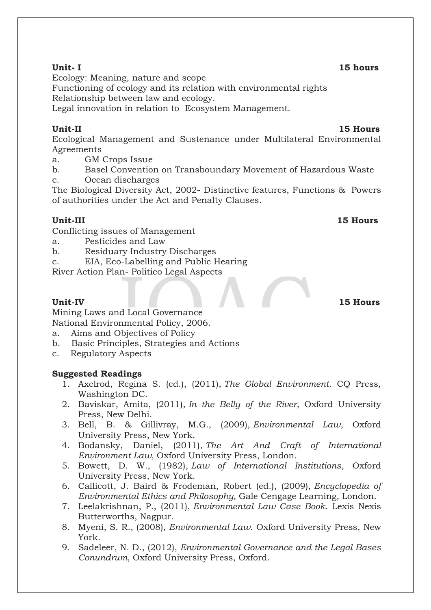**Unit-II 15 Hours** Ecological Management and Sustenance under Multilateral Environmental Agreements

a. GM Crops Issue

b. Basel Convention on Transboundary Movement of Hazardous Waste c. Ocean discharges

The Biological Diversity Act, 2002- Distinctive features, Functions & Powers of authorities under the Act and Penalty Clauses.

## **Unit-III 15 Hours**

Conflicting issues of Management

- a. Pesticides and Law
- b. Residuary Industry Discharges
- c. EIA, Eco-Labelling and Public Hearing
- River Action Plan- Politico Legal Aspects

Mining Laws and Local Governance National Environmental Policy, 2006.

- a. Aims and Objectives of Policy
- b. Basic Principles, Strategies and Actions
- c. Regulatory Aspects

### **Suggested Readings**

- 1. Axelrod, Regina S. (ed.), (2011), *The Global Environment*. CQ Press, Washington DC.
- 2. Baviskar, Amita, (2011), *In the Belly of the River,* Oxford University Press, New Delhi.
- 3. Bell, B. & Gillivray, M.G., (2009), *Environmental Law*, Oxford University Press, New York.
- 4. Bodansky, Daniel, (2011), *The Art And Craft of International Environment Law,* Oxford University Press, London.
- 5. Bowett, D. W., (1982), *Law of International Institutions*, Oxford University Press, New York.
- 6. Callicott, J. Baird & Frodeman, Robert (ed.), (2009), *Encyclopedia of Environmental Ethics and Philosophy,* Gale Cengage Learning, London.
- 7. Leelakrishnan, P., (2011), *Environmental Law Case Book*. Lexis Nexis Butterworths, Nagpur.
- 8. Myeni, S. R., (2008), *Environmental Law*. Oxford University Press, New York.
- 9. Sadeleer, N. D., (2012), *Environmental Governance and the Legal Bases Conundrum*, Oxford University Press, Oxford.

### **Unit- I 15 hours**

Ecology: Meaning, nature and scope

Functioning of ecology and its relation with environmental rights Relationship between law and ecology.

Legal innovation in relation to Ecosystem Management.

## **Unit-IV 15 Hours**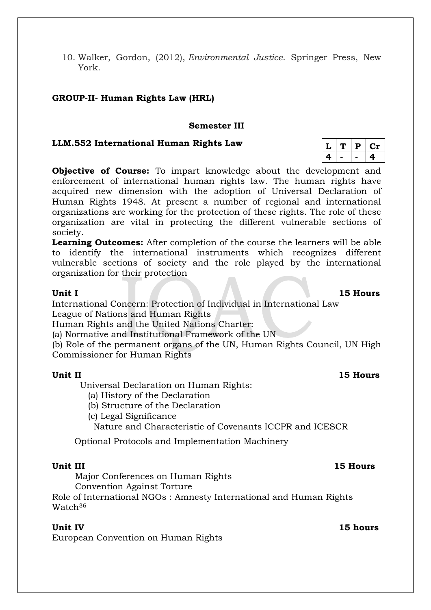10. Walker, Gordon, (2012), *Environmental Justice*. Springer Press, New York.

### **GROUP-II- Human Rights Law (HRL)**

### **Semester III**

### **LLM.552 International Human Rights Law**

**Objective of Course:** To impart knowledge about the development and enforcement of international human rights law. The human rights have acquired new dimension with the adoption of Universal Declaration of Human Rights 1948. At present a number of regional and international organizations are working for the protection of these rights. The role of these organization are vital in protecting the different vulnerable sections of society.

**Learning Outcomes:** After completion of the course the learners will be able to identify the international instruments which recognizes different vulnerable sections of society and the role played by the international organization for their protection

International Concern: Protection of Individual in International Law League of Nations and Human Rights

Human Rights and the United Nations Charter:

(a) Normative and Institutional Framework of the UN

(b) Role of the permanent organs of the UN, Human Rights Council, UN High Commissioner for Human Rights

### **Unit II 15 Hours**

Universal Declaration on Human Rights:

- (a) History of the Declaration
- (b) Structure of the Declaration
- (c) Legal Significance

Nature and Characteristic of Covenants ICCPR and ICESCR

Optional Protocols and Implementation Machinery

Major Conferences on Human Rights

Convention Against Torture

Role of International NGOs : Amnesty International and Human Rights Watch<sup>36</sup>

### **Unit IV 15 hours**

European Convention on Human Rights

|   | D | ч. |
|---|---|----|
| Œ |   | α  |

**Unit I 15 Hours**

**Unit III 15 Hours**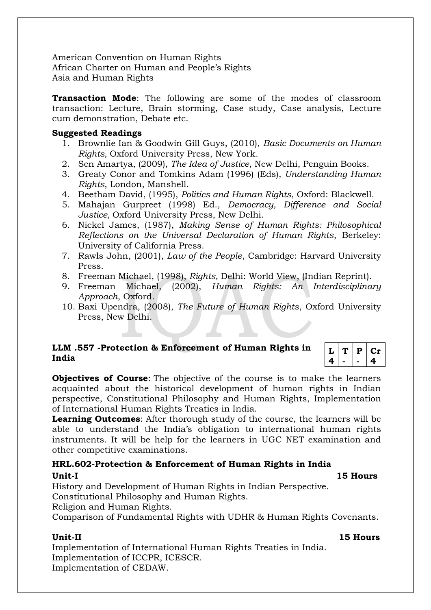American Convention on Human Rights African Charter on Human and People's Rights Asia and Human Rights

**Transaction Mode**: The following are some of the modes of classroom transaction: Lecture, Brain storming, Case study, Case analysis, Lecture cum demonstration, Debate etc.

### **Suggested Readings**

- 1. Brownlie Ian & Goodwin Gill Guys, (2010), *Basic Documents on Human Rights,* Oxford University Press, New York.
- 2. Sen Amartya, (2009), *The Idea of Justice*, New Delhi, Penguin Books.
- 3. Greaty Conor and Tomkins Adam (1996) (Eds), *Understanding Human Rights*, London, Manshell.
- 4. Beetham David, (1995), *Politics and Human Rights*, Oxford: Blackwell.
- 5. Mahajan Gurpreet (1998) Ed., *Democracy, Difference and Social Justice,* Oxford University Press, New Delhi.
- 6. Nickel James, (1987), *Making Sense of Human Rights: Philosophical Reflections on the Universal Declaration of Human Rights*, Berkeley: University of California Press.
- 7. Rawls John, (2001), *Law of the People*, Cambridge: Harvard University Press.
- 8. Freeman Michael, (1998), *Rights,* Delhi: World View, (Indian Reprint).
- 9. Freeman Michael, (2002), *Human Rights: An Interdisciplinary Approach*, Oxford.
- 10. Baxi Upendra, (2008), *The Future of Human Rights*, Oxford University Press, New Delhi.

### **LLM .557 -Protection & Enforcement of Human Rights in India**

 $L | T | P | Cr$ **4 - - 4**

**Objectives of Course**: The objective of the course is to make the learners acquainted about the historical development of human rights in Indian perspective, Constitutional Philosophy and Human Rights, Implementation of International Human Rights Treaties in India.

**Learning Outcomes**: After thorough study of the course, the learners will be able to understand the India's obligation to international human rights instruments. It will be help for the learners in UGC NET examination and other competitive examinations.

**HRL.602-Protection & Enforcement of Human Rights in India**

### **Unit-I 15 Hours**

History and Development of Human Rights in Indian Perspective. Constitutional Philosophy and Human Rights. Religion and Human Rights.

Comparison of Fundamental Rights with UDHR & Human Rights Covenants.

**Unit-II 15 Hours**

Implementation of International Human Rights Treaties in India. Implementation of ICCPR, ICESCR. Implementation of CEDAW.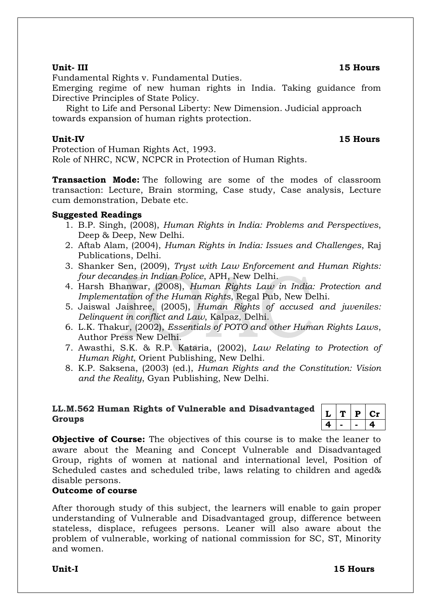Fundamental Rights v. Fundamental Duties.

Emerging regime of new human rights in India. Taking guidance from Directive Principles of State Policy.

 Right to Life and Personal Liberty: New Dimension. Judicial approach towards expansion of human rights protection.

### **Unit-IV 15 Hours**

Protection of Human Rights Act, 1993. Role of NHRC, NCW, NCPCR in Protection of Human Rights.

**Transaction Mode:** The following are some of the modes of classroom transaction: Lecture, Brain storming, Case study, Case analysis, Lecture cum demonstration, Debate etc.

### **Suggested Readings**

- 1. B.P. Singh, (2008), *Human Rights in India: Problems and Perspectives*, Deep & Deep, New Delhi.
- 2. Aftab Alam, (2004), *Human Rights in India: Issues and Challenges*, Raj Publications, Delhi.
- 3. Shanker Sen, (2009), *Tryst with Law Enforcement and Human Rights: four decandes in Indian Police*, APH, New Delhi.
- 4. Harsh Bhanwar, (2008), *Human Rights Law in India: Protection and Implementation of the Human Rights*, Regal Pub, New Delhi.
- 5. Jaiswal Jaishree, (2005), *Human Rights of accused and juveniles: Delinquent in conflict and Law*, Kalpaz, Delhi.
- 6. L.K. Thakur, (2002), *Essentials of POTO and other Human Rights Laws*, Author Press New Delhi.
- 7. Awasthi, S.K. & R.P. Kataria, (2002), *Law Relating to Protection of Human Right*, Orient Publishing, New Delhi.
- 8. K.P. Saksena, (2003) (ed.), *Human Rights and the Constitution: Vision and the Reality*, Gyan Publishing, New Delhi.

### **LL.M.562 Human Rights of Vulnerable and Disadvantaged Groups**

|   | D | 1 I |
|---|---|-----|
| 4 |   | Д.  |

**Objective of Course:** The objectives of this course is to make the leaner to aware about the Meaning and Concept Vulnerable and Disadvantaged Group, rights of women at national and international level, Position of Scheduled castes and scheduled tribe, laws relating to children and aged& disable persons.

### **Outcome of course**

After thorough study of this subject, the learners will enable to gain proper understanding of Vulnerable and Disadvantaged group, difference between stateless, displace, refugees persons. Leaner will also aware about the problem of vulnerable, working of national commission for SC, ST, Minority and women.

**Unit-I 15 Hours**

## **Unit- III 15 Hours**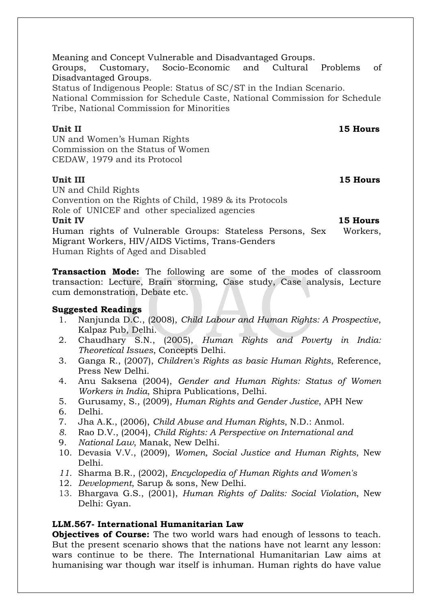Meaning and Concept Vulnerable and Disadvantaged Groups. Groups, Customary, Socio-Economic and Cultural Problems of Disadvantaged Groups.

Status of Indigenous People: Status of SC/ST in the Indian Scenario. National Commission for Schedule Caste, National Commission for Schedule

Tribe, National Commission for Minorities

**Unit II** 15 Hours

UN and Women's Human Rights Commission on the Status of Women CEDAW, 1979 and its Protocol

**Unit III** 15 Hours

UN and Child Rights Convention on the Rights of Child, 1989 & its Protocols Role of UNICEF and other specialized agencies **Unit IV 15 Hours** Human rights of Vulnerable Groups: Stateless Persons, Sex Workers, Migrant Workers, HIV/AIDS Victims, Trans-Genders Human Rights of Aged and Disabled

**Transaction Mode:** The following are some of the modes of classroom transaction: Lecture, Brain storming, Case study, Case analysis, Lecture cum demonstration, Debate etc.

### **Suggested Readings**

- 1. Nanjunda D.C., (2008), *Child Labour and Human Rights: A Prospective*, Kalpaz Pub, Delhi.
- 2. Chaudhary S.N., (2005), *Human Rights and Poverty in India: Theoretical Issues*, Concepts Delhi.
- 3. Ganga R., (2007), *Children's Rights as basic Human Rights*, Reference, Press New Delhi.
- 4. Anu Saksena (2004), *Gender and Human Rights: Status of Women Workers in India*, Shipra Publications, Delhi.
- 5. Gurusamy, S., (2009), *Human Rights and Gender Justice*, APH New
- 6. Delhi.
- 7. Jha A.K., (2006), *Child Abuse and Human Rights*, N.D.: Anmol.
- *8.* Rao D.V., (2004), *Child Rights: A Perspective on International and*
- 9. *National Law*, Manak, New Delhi.
- 10. Devasia V.V., (2009), *Women, Social Justice and Human Rights*, New Delhi.
- *11.* Sharma B.R., (2002), *Encyclopedia of Human Rights and Women's*
- 12. *Development*, Sarup & sons, New Delhi.
- 13. Bhargava G.S., (2001), *Human Rights of Dalits: Social Violation*, New Delhi: Gyan.

### **LLM.567- International Humanitarian Law**

**Objectives of Course:** The two world wars had enough of lessons to teach. But the present scenario shows that the nations have not learnt any lesson: wars continue to be there. The International Humanitarian Law aims at humanising war though war itself is inhuman. Human rights do have value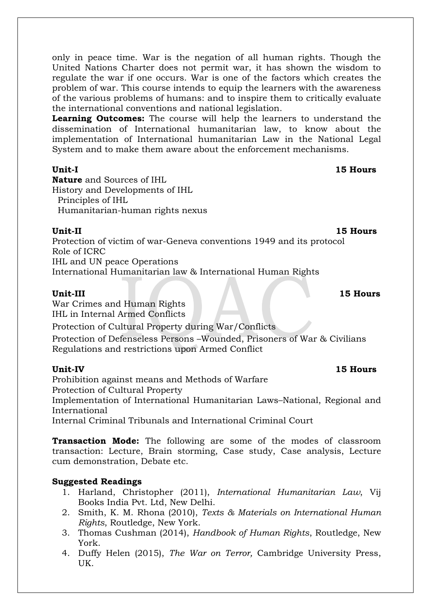only in peace time. War is the negation of all human rights. Though the United Nations Charter does not permit war, it has shown the wisdom to regulate the war if one occurs. War is one of the factors which creates the problem of war. This course intends to equip the learners with the awareness of the various problems of humans: and to inspire them to critically evaluate the international conventions and national legislation.

**Learning Outcomes:** The course will help the learners to understand the dissemination of International humanitarian law, to know about the implementation of International humanitarian Law in the National Legal System and to make them aware about the enforcement mechanisms.

**Unit-I 15 Hours**

**Nature** and Sources of IHL History and Developments of IHL Principles of IHL Humanitarian-human rights nexus

**Unit-II 15 Hours**

Protection of victim of war-Geneva conventions 1949 and its protocol Role of ICRC IHL and UN peace Operations International Humanitarian law & International Human Rights

## **Unit-III 15 Hours**

War Crimes and Human Rights IHL in Internal Armed Conflicts Protection of Cultural Property during War/Conflicts

Protection of Defenseless Persons –Wounded, Prisoners of War & Civilians Regulations and restrictions upon Armed Conflict

**Unit-IV 15 Hours**  Prohibition against means and Methods of Warfare Protection of Cultural Property Implementation of International Humanitarian Laws–National, Regional and International

Internal Criminal Tribunals and International Criminal Court

**Transaction Mode:** The following are some of the modes of classroom transaction: Lecture, Brain storming, Case study, Case analysis, Lecture cum demonstration, Debate etc.

## **Suggested Readings**

- 1. Harland, Christopher (2011), *International Humanitarian Law*, Vij Books India Pvt. Ltd, New Delhi.
- 2. Smith, K. M. Rhona (2010), *Texts & Materials on International Human Rights*, Routledge, New York.
- 3. Thomas Cushman (2014), *Handbook of Human Rights*, Routledge, New York.
- 4. Duffy Helen (2015), *The War on Terror,* Cambridge University Press, UK.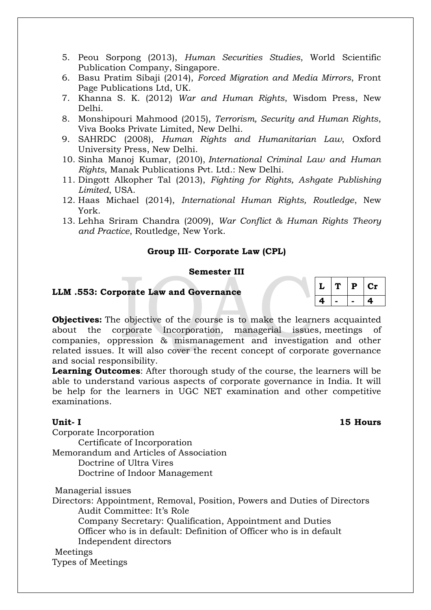- 5. Peou Sorpong (2013), *Human Securities Studies*, World Scientific Publication Company, Singapore.
- 6. Basu Pratim Sibaji (2014), *Forced Migration and Media Mirrors*, Front Page Publications Ltd, UK.
- 7. Khanna S. K. (2012) *War and Human Rights*, Wisdom Press, New Delhi.
- 8. Monshipouri Mahmood (2015), *Terrorism, Security and Human Rights*, Viva Books Private Limited, New Delhi.
- 9. SAHRDC (2008), *Human Rights and Humanitarian Law*, Oxford University Press, New Delhi.
- 10. Sinha Manoj Kumar, (2010), *International Criminal Law and Human Rights*, Manak Publications Pvt. Ltd.: New Delhi.
- 11. Dingott Alkopher Tal (2013), *Fighting for Rights, Ashgate Publishing Limited*, USA.
- 12. Haas Michael (2014), *International Human Rights, Routledge*, New York.
- 13. Lehha Sriram Chandra (2009), *War Conflict & Human Rights Theory and Practice*, Routledge, New York.

### **Group III- Corporate Law (CPL)**

### **Semester III**

### **LLM .553: Corporate Law and Governance**

| L  | Ί. | P | Сr |
|----|----|---|----|
| 28 |    |   | 4  |

**Objectives:** The objective of the course is to make the learners acquainted about the corporate Incorporation, managerial issues, meetings of companies, oppression & mismanagement and investigation and other related issues. It will also cover the recent concept of corporate governance and social responsibility.

**Learning Outcomes**: After thorough study of the course, the learners will be able to understand various aspects of corporate governance in India. It will be help for the learners in UGC NET examination and other competitive examinations.

### **Unit- I 15 Hours**

Corporate Incorporation

Certificate of Incorporation

Memorandum and Articles of Association

Doctrine of Ultra Vires

Doctrine of Indoor Management

Managerial issues

Directors: Appointment, Removal, Position, Powers and Duties of Directors Audit Committee: It's Role Company Secretary: Qualification, Appointment and Duties Officer who is in default: Definition of Officer who is in default Independent directors

### Meetings

Types of Meetings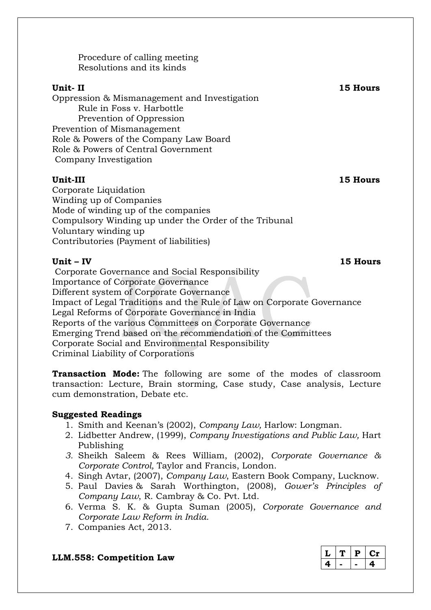Procedure of calling meeting Resolutions and its kinds

### **Unit- II 15 Hours**

Oppression & Mismanagement and Investigation Rule in Foss v. Harbottle Prevention of Oppression Prevention of Mismanagement Role & Powers of the Company Law Board Role & Powers of Central Government Company Investigation

### **Unit-III 15 Hours**

Corporate Liquidation Winding up of Companies Mode of winding up of the companies Compulsory Winding up under the Order of the Tribunal Voluntary winding up Contributories (Payment of liabilities)

Corporate Governance and Social Responsibility Importance of Corporate Governance Different system of Corporate Governance Impact of Legal Traditions and the Rule of Law on Corporate Governance Legal Reforms of Corporate Governance in India Reports of the various Committees on Corporate Governance Emerging Trend based on the recommendation of the Committees Corporate Social and Environmental Responsibility Criminal Liability of Corporations

**Transaction Mode:** The following are some of the modes of classroom transaction: Lecture, Brain storming, Case study, Case analysis, Lecture cum demonstration, Debate etc.

## **Suggested Readings**

- 1. Smith and Keenan's (2002), *Company Law,* Harlow: Longman.
- 2. Lidbetter Andrew, (1999), *Company Investigations and Public Law,* Hart Publishing
- *3.* Sheikh Saleem & Rees William, (2002), *Corporate Governance & Corporate Control,* Taylor and Francis, London.
- 4. Singh Avtar, (2007), *Company Law*, Eastern Book Company, Lucknow.
- 5. Paul Davies & Sarah Worthington, (2008), *Gower's Principles of Company Law*, R. Cambray & Co. Pvt. Ltd.
- 6. Verma S. K. & Gupta Suman (2005), *Corporate Governance and Corporate Law Reform in India*.
- 7. Companies Act, 2013.

## **LLM.558: Competition Law**

|  | Р |  |
|--|---|--|
|  |   |  |

**Unit – IV 15 Hours**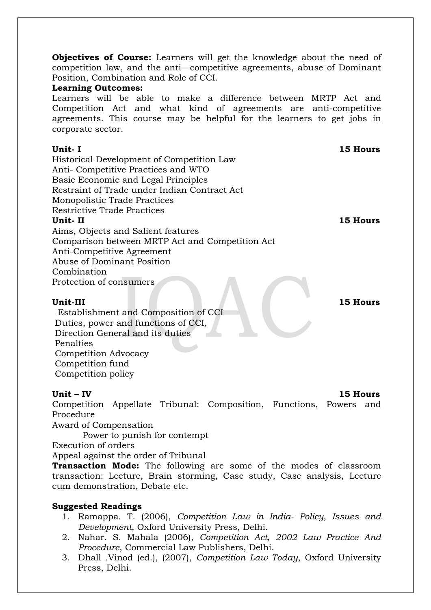**Objectives of Course:** Learners will get the knowledge about the need of competition law, and the anti—competitive agreements, abuse of Dominant Position, Combination and Role of CCI.

### **Learning Outcomes:**

Learners will be able to make a difference between MRTP Act and Competition Act and what kind of agreements are anti-competitive agreements. This course may be helpful for the learners to get jobs in corporate sector.

### **Unit- I 15 Hours**

Historical Development of Competition Law Anti- Competitive Practices and WTO Basic Economic and Legal Principles Restraint of Trade under Indian Contract Act Monopolistic Trade Practices Restrictive Trade Practices **Unit- II 15 Hours**

Aims, Objects and Salient features Comparison between MRTP Act and Competition Act Anti-Competitive Agreement Abuse of Dominant Position Combination Protection of consumers

 Establishment and Composition of CCI Duties, power and functions of CCI, Direction General and its duties Penalties Competition Advocacy Competition fund Competition policy

### **Unit – IV 15 Hours**

Competition Appellate Tribunal: Composition, Functions, Powers and Procedure

Award of Compensation

Power to punish for contempt

Execution of orders

Appeal against the order of Tribunal

**Transaction Mode:** The following are some of the modes of classroom transaction: Lecture, Brain storming, Case study, Case analysis, Lecture cum demonstration, Debate etc.

### **Suggested Readings**

- 1. Ramappa. T. (2006), *Competition Law in India- Policy, Issues and Development*, Oxford University Press, Delhi.
- 2. Nahar. S. Mahala (2006), *Competition Act, 2002 Law Practice And Procedure*, Commercial Law Publishers, Delhi.
- 3. Dhall .Vinod (ed.), (2007), *Competition Law Today*, Oxford University Press, Delhi.

**Unit-III 15 Hours**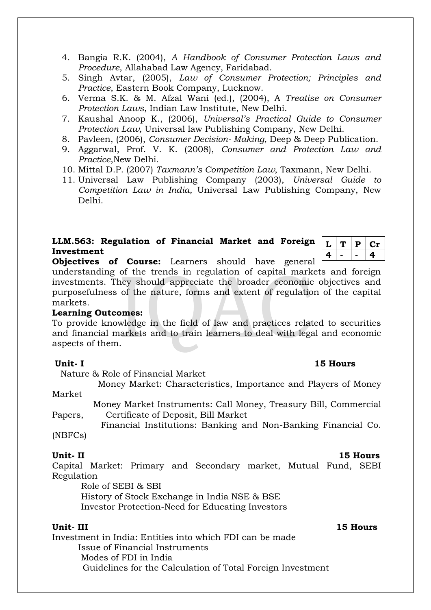- 4. Bangia R.K. (2004), *A Handbook of Consumer Protection Laws and Procedure*, Allahabad Law Agency, Faridabad.
- 5. Singh Avtar, (2005), *Law of Consumer Protection; Principles and Practice*, Eastern Book Company, Lucknow.
- 6. Verma S.K. & M. Afzal Wani (ed.), (2004), A *Treatise on Consumer Protection Laws*, Indian Law Institute, New Delhi.
- 7. Kaushal Anoop K., (2006), *Universal's Practical Guide to Consumer Protection Law,* Universal law Publishing Company, New Delhi.
- 8. Pavleen, (2006), *Consumer Decision- Making*, Deep & Deep Publication.
- 9. Aggarwal, Prof. V. K. (2008), *Consumer and Protection Law and Practice*,New Delhi.
- 10. Mittal D.P. (2007) *Taxmann's Competition Law*, Taxmann, New Delhi.
- 11. Universal Law Publishing Company (2003), *Universal Guide to Competition Law in India,* Universal Law Publishing Company, New Delhi.

## **LLM.563: Regulation of Financial Market and Foreign Investment**

 $|L|$  **T**  $|P|$  **Cr 4 - - 4**

**Objectives of Course:** Learners should have general

understanding of the trends in regulation of capital markets and foreign investments. They should appreciate the broader economic objectives and purposefulness of the nature, forms and extent of regulation of the capital markets.

### **Learning Outcomes:**

To provide knowledge in the field of law and practices related to securities and financial markets and to train learners to deal with legal and economic aspects of them.

### **Unit- I 15 Hours**

Nature & Role of Financial Market

 Money Market: Characteristics, Importance and Players of Money Market

 Money Market Instruments: Call Money, Treasury Bill, Commercial Papers, Certificate of Deposit, Bill Market

 Financial Institutions: Banking and Non-Banking Financial Co. (NBFCs)

Capital Market: Primary and Secondary market, Mutual Fund, SEBI Regulation

Role of SEBI & SBI

 History of Stock Exchange in India NSE & BSE Investor Protection-Need for Educating Investors

### **Unit- III 15 Hours**

Investment in India: Entities into which FDI can be made Issue of Financial Instruments Modes of FDI in India Guidelines for the Calculation of Total Foreign Investment

### **Unit- II 15 Hours**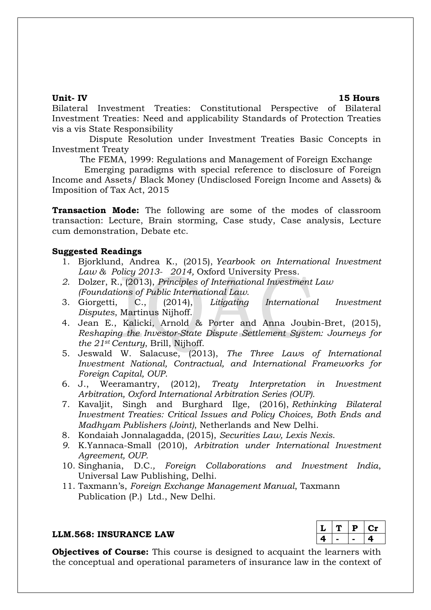**Unit- IV 15 Hours**

Bilateral Investment Treaties: Constitutional Perspective of Bilateral Investment Treaties: Need and applicability Standards of Protection Treaties vis a vis State Responsibility

 Dispute Resolution under Investment Treaties Basic Concepts in Investment Treaty

The FEMA, 1999: Regulations and Management of Foreign Exchange

 Emerging paradigms with special reference to disclosure of Foreign Income and Assets/ Black Money (Undisclosed Foreign Income and Assets) & Imposition of Tax Act, 2015

**Transaction Mode:** The following are some of the modes of classroom transaction: Lecture, Brain storming, Case study, Case analysis, Lecture cum demonstration, Debate etc.

### **Suggested Readings**

- 1. Bjorklund, Andrea K., (2015), *Yearbook on International Investment Law & Policy 2013- 2014,* Oxford University Press.
- *2.* Dolzer, R., (2013), *Principles of International Investment Law (Foundations of Public International Law.*
- 3. Giorgetti, C., (2014), *Litigating International Investment Disputes*, Martinus Nijhoff.
- 4. Jean E., Kalicki, Arnold & Porter and Anna Joubin-Bret, (2015), *Reshaping the Investor-State Dispute Settlement System: Journeys for the 21st Century*, Brill, Nijhoff.
- 5. Jeswald W. Salacuse, (2013), *The Three Laws of International Investment National, Contractual, and International Frameworks for Foreign Capital, OUP*.
- 6. J., Weeramantry, (2012), *Treaty Interpretation in Investment Arbitration, Oxford International Arbitration Series (OUP).*
- 7. Kavaljit, Singh and Burghard Ilge, (2016), *Rethinking Bilateral Investment Treaties: Critical Issues and Policy Choices, Both Ends and Madhyam Publishers (Joint)*, Netherlands and New Delhi.
- 8. Kondaiah Jonnalagadda, (2015), *Securities Law, Lexis Nexis*.
- *9.* K.Yannaca-Small (2010), *Arbitration under International Investment Agreement, OUP.*
- 10. Singhania, D.C*., Foreign Collaborations and Investment India*, Universal Law Publishing, Delhi.
- 11. Taxmann's, *Foreign Exchange Management Manual*, Taxmann Publication (P.) Ltd., New Delhi.

### **LLM.568: INSURANCE LAW**

|   |  | U 79 |
|---|--|------|
| 2 |  | 41   |

**Objectives of Course:** This course is designed to acquaint the learners with the conceptual and operational parameters of insurance law in the context of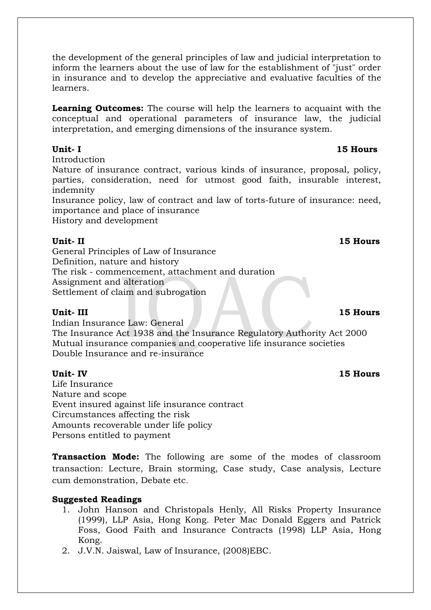the development of the general principles of law and judicial interpretation to inform the learners about the use of law for the establishment of "just" order in insurance and to develop the appreciative and evaluative faculties of the learners.

**Learning Outcomes:** The course will help the learners to acquaint with the conceptual and operational parameters of insurance law, the judicial interpretation, and emerging dimensions of the insurance system.

Introduction

Nature of insurance contract, various kinds of insurance, proposal, policy, parties, consideration, need for utmost good faith, insurable interest, indemnity

Insurance policy, law of contract and law of torts-future of insurance: need, importance and place of insurance

History and development

### **Unit- II 15 Hours**

General Principles of Law of Insurance Definition, nature and history The risk - commencement, attachment and duration Assignment and alteration Settlement of claim and subrogation

Indian Insurance Law: General The Insurance Act 1938 and the Insurance Regulatory Authority Act 2000 Mutual insurance companies and cooperative life insurance societies Double Insurance and re-insurance

### **Unit- IV 15 Hours**

Life Insurance Nature and scope Event insured against life insurance contract Circumstances affecting the risk Amounts recoverable under life policy Persons entitled to payment

**Transaction Mode:** The following are some of the modes of classroom transaction: Lecture, Brain storming, Case study, Case analysis, Lecture cum demonstration, Debate etc.

### **Suggested Readings**

- 1. John Hanson and Christopals Henly, All Risks Property Insurance (1999), LLP Asia, Hong Kong. Peter Mac Donald Eggers and Patrick Foss, Good Faith and Insurance Contracts (1998) LLP Asia, Hong Kong.
- 2. J.V.N. Jaiswal, Law of Insurance, (2008)EBC.

### **Unit- III 15 Hours**

## **Unit- I 15 Hours**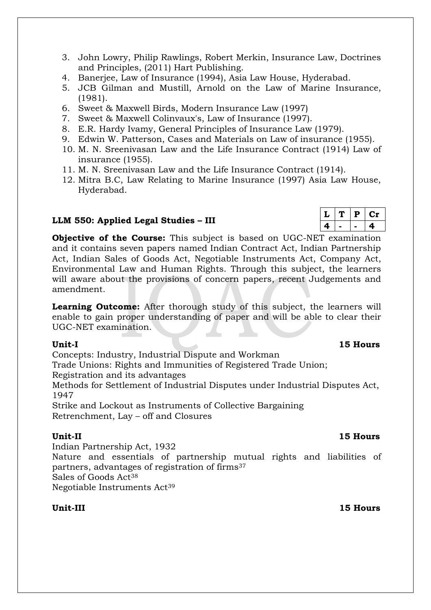- 3. John Lowry, Philip Rawlings, Robert Merkin, Insurance Law, Doctrines and Principles, (2011) Hart Publishing.
- 4. Banerjee, Law of Insurance (1994), Asia Law House, Hyderabad.
- 5. JCB Gilman and Mustill, Arnold on the Law of Marine Insurance, (1981).
- 6. Sweet & Maxwell Birds, Modern Insurance Law (1997)
- 7. Sweet & Maxwell Colinvaux's, Law of Insurance (1997).
- 8. E.R. Hardy Ivamy, General Principles of Insurance Law (1979).
- 9. Edwin W. Patterson, Cases and Materials on Law of insurance (1955).
- 10. M. N. Sreenivasan Law and the Life Insurance Contract (1914) Law of insurance (1955).
- 11. M. N. Sreenivasan Law and the Life Insurance Contract (1914).
- 12. Mitra B.C, Law Relating to Marine Insurance (1997) Asia Law House, Hyderabad.

### **LLM 550: Applied Legal Studies – III**

**Objective of the Course:** This subject is based on UGC-NET examination and it contains seven papers named Indian Contract Act, Indian Partnership Act, Indian Sales of Goods Act, Negotiable Instruments Act, Company Act, Environmental Law and Human Rights. Through this subject, the learners will aware about the provisions of concern papers, recent Judgements and amendment.

**Learning Outcome:** After thorough study of this subject, the learners will enable to gain proper understanding of paper and will be able to clear their UGC-NET examination.

Concepts: Industry, Industrial Dispute and Workman

Trade Unions: Rights and Immunities of Registered Trade Union;

Registration and its advantages

Methods for Settlement of Industrial Disputes under Industrial Disputes Act, 1947

Strike and Lockout as Instruments of Collective Bargaining Retrenchment, Lay – off and Closures

**Unit-II 15 Hours** Indian Partnership Act, 1932

Nature and essentials of partnership mutual rights and liabilities of partners, advantages of registration of firms<sup>37</sup> Sales of Goods Act<sup>38</sup> Negotiable Instruments Act<sup>39</sup>

**Unit-III 15 Hours**

### **Unit-I 15 Hours**

## $L | T | P | Cr$ **4 - - 4**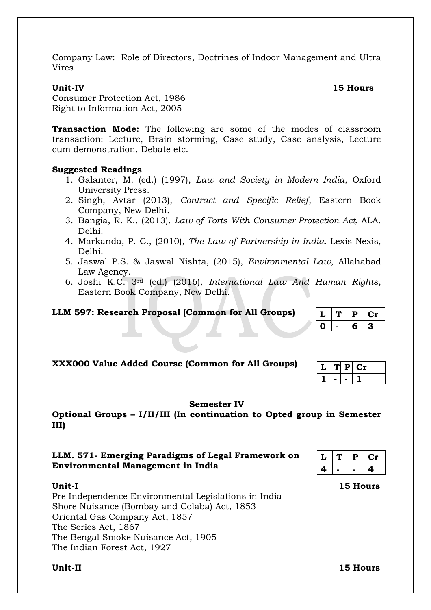Company Law: Role of Directors, Doctrines of Indoor Management and Ultra Vires

### **Unit-IV 15 Hours**

Consumer Protection Act, 1986 Right to Information Act, 2005

**Transaction Mode:** The following are some of the modes of classroom transaction: Lecture, Brain storming, Case study, Case analysis, Lecture cum demonstration, Debate etc.

### **Suggested Readings**

- 1. Galanter, M. (ed.) (1997), *Law and Society in Modern India*, Oxford University Press.
- 2. Singh, Avtar (2013), *Contract and Specific Relief*, Eastern Book Company, New Delhi.
- 3. Bangia, R. K., (2013), *Law of Torts With Consumer Protection Act,* ALA. Delhi.
- 4. Markanda, P. C., (2010), *The Law of Partnership in India.* Lexis-Nexis, Delhi.
- 5. Jaswal P.S. & Jaswal Nishta, (2015), *Environmental Law*, Allahabad Law Agency.
- 6. Joshi K.C. 3rd (ed.) (2016), *International Law And Human Rights*, Eastern Book Company, New Delhi.

### **LLM 597: Research Proposal (Common for All Groups)**

| XXX000 Value Added Course (Common for All Groups) |  |
|---------------------------------------------------|--|

### **Semester IV**

**Optional Groups – I/II/III (In continuation to Opted group in Semester III)**

### **LLM. 571- Emerging Paradigms of Legal Framework on Environmental Management in India**

| L | Р | Юr |
|---|---|----|
| 4 |   | 4  |

**Unit-I 15 Hours** Pre Independence Environmental Legislations in India Shore Nuisance (Bombay and Colaba) Act, 1853 Oriental Gas Company Act, 1857 The Series Act, 1867 The Bengal Smoke Nuisance Act, 1905 The Indian Forest Act, 1927

**Unit-II 15 Hours**

|  | b. | -3- |
|--|----|-----|
|  |    |     |
|  |    |     |

 $L | T | P | Cr$ 

|   | Ρ | œ |
|---|---|---|
| ═ |   |   |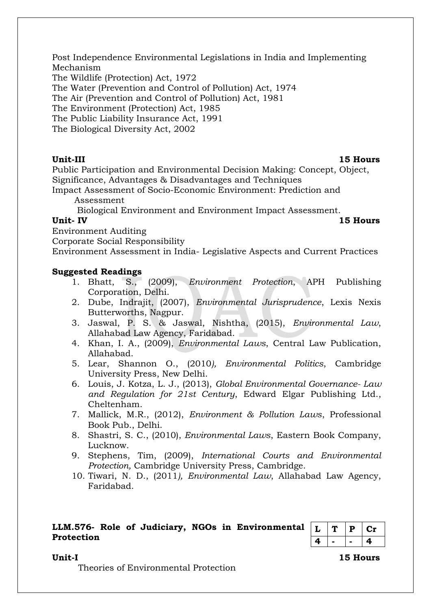Post Independence Environmental Legislations in India and Implementing Mechanism

The Wildlife (Protection) Act, 1972

The Water (Prevention and Control of Pollution) Act, 1974

The Air (Prevention and Control of Pollution) Act, 1981

The Environment (Protection) Act, 1985

The Public Liability Insurance Act, 1991

The Biological Diversity Act, 2002

**Unit-III 15 Hours**

Public Participation and Environmental Decision Making: Concept, Object, Significance, Advantages & Disadvantages and Techniques

Impact Assessment of Socio-Economic Environment: Prediction and Assessment

Biological Environment and Environment Impact Assessment.

### **Unit- IV 15 Hours**

Environment Auditing

Corporate Social Responsibility

Environment Assessment in India- Legislative Aspects and Current Practices

### **Suggested Readings**

- 1. Bhatt, S., (2009), *Environment Protection*, APH Publishing Corporation, Delhi.
- 2. Dube, Indrajit, (2007), *Environmental Jurisprudence*, Lexis Nexis Butterworths, Nagpur.
- 3. Jaswal, P. S. & Jaswal, Nishtha, (2015), *Environmental Law*, Allahabad Law Agency, Faridabad.
- 4. Khan, I. A., (2009), *Environmental Laws*, Central Law Publication, Allahabad.
- 5. Lear, Shannon O., (2010*), Environmental Politics*, Cambridge University Press, New Delhi.
- 6. Louis, J. Kotza, L. J., (2013), *Global Environmental Governance- Law and Regulation for 21st Century*, Edward Elgar Publishing Ltd., Cheltenham.
- 7. Mallick, M.R., (2012), *Environment & Pollution Laws*, Professional Book Pub., Delhi.
- 8. Shastri, S. C., (2010), *Environmental Laws*, Eastern Book Company, Lucknow.
- 9. Stephens, Tim, (2009), *International Courts and Environmental Protection,* Cambridge University Press, Cambridge.
- 10. Tiwari, N. D., (2011*), Environmental Law*, Allahabad Law Agency, Faridabad.

### **LLM.576- Role of Judiciary, NGOs in Environmental Protection**

|   | P | C 11 |
|---|---|------|
| Œ |   | α    |

### **Unit-I 15 Hours**

Theories of Environmental Protection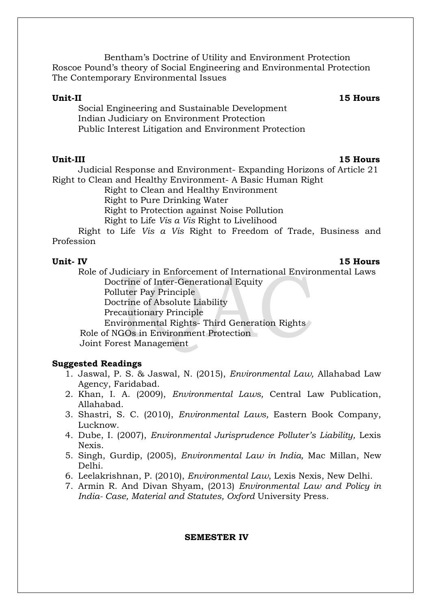Bentham's Doctrine of Utility and Environment Protection Roscoe Pound's theory of Social Engineering and Environmental Protection The Contemporary Environmental Issues

### **Unit-II 15 Hours**

Social Engineering and Sustainable Development Indian Judiciary on Environment Protection Public Interest Litigation and Environment Protection

Judicial Response and Environment- Expanding Horizons of Article 21 Right to Clean and Healthy Environment- A Basic Human Right

Right to Clean and Healthy Environment

Right to Pure Drinking Water

Right to Protection against Noise Pollution

Right to Life *Vis a Vis* Right to Livelihood

Right to Life *Vis a Vis* Right to Freedom of Trade, Business and Profession

### **Unit- IV 15 Hours**

- Role of Judiciary in Enforcement of International Environmental Laws Doctrine of Inter-Generational Equity Polluter Pay Principle Doctrine of Absolute Liability
	- Precautionary Principle
	- Environmental Rights- Third Generation Rights
- Role of NGOs in Environment Protection

Joint Forest Management

### **Suggested Readings**

- 1. Jaswal, P. S. & Jaswal, N. (2015), *Environmental Law,* Allahabad Law Agency, Faridabad.
- 2. Khan, I. A. (2009), *Environmental Laws,* Central Law Publication, Allahabad.
- 3. Shastri, S. C. (2010), *Environmental Laws,* Eastern Book Company, Lucknow.
- 4. Dube, I. (2007), *Environmental Jurisprudence Polluter's Liability,* Lexis Nexis.
- 5. Singh, Gurdip, (2005), *Environmental Law in India,* Mac Millan, New Delhi.
- 6. Leelakrishnan, P. (2010), *Environmental Law*, Lexis Nexis, New Delhi.
- 7. Armin R. And Divan Shyam, (2013) *Environmental Law and Policy in India- Case, Material and Statutes, Oxford* University Press.

### **SEMESTER IV**

### **Unit-III 15 Hours**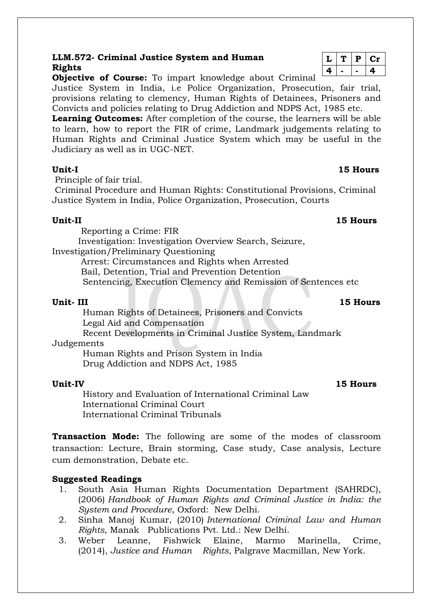## **LLM.572- Criminal Justice System and Human Rights**

**Objective of Course:** To impart knowledge about Criminal

Justice System in India, i.e Police Organization, Prosecution, fair trial, provisions relating to clemency, Human Rights of Detainees, Prisoners and Convicts and policies relating to Drug Addiction and NDPS Act, 1985 etc.

**Learning Outcomes:** After completion of the course, the learners will be able to learn, how to report the FIR of crime, Landmark judgements relating to Human Rights and Criminal Justice System which may be useful in the Judiciary as well as in UGC-NET.

Principle of fair trial.

Criminal Procedure and Human Rights: Constitutional Provisions, Criminal Justice System in India, Police Organization, Prosecution, Courts

### **Unit-II 15 Hours**

Reporting a Crime: FIR

Investigation: Investigation Overview Search, Seizure,

Investigation/Preliminary Questioning

Arrest: Circumstances and Rights when Arrested Bail, Detention, Trial and Prevention Detention

Sentencing, Execution Clemency and Remission of Sentences etc

 Human Rights of Detainees, Prisoners and Convicts Legal Aid and Compensation Recent Developments in Criminal Justice System, Landmark Judgements

 Human Rights and Prison System in India Drug Addiction and NDPS Act, 1985

### **Unit-IV 15 Hours**

 History and Evaluation of International Criminal Law International Criminal Court International Criminal Tribunals

**Transaction Mode:** The following are some of the modes of classroom transaction: Lecture, Brain storming, Case study, Case analysis, Lecture cum demonstration, Debate etc.

### **Suggested Readings**

- 1. South Asia Human Rights Documentation Department (SAHRDC), (2006) *Handbook of Human Rights and Criminal Justice in India: the System and Procedure*, Oxford: New Delhi.
- 2. Sinha Manoj Kumar, (2010) *International Criminal Law and Human Rights*, Manak Publications Pvt. Ltd.: New Delhi.
- 3. Weber Leanne, Fishwick Elaine, Marmo Marinella, Crime, (2014), *Justice and Human Rights*, Palgrave Macmillan, New York.

|   | D | UP. |
|---|---|-----|
| " |   | ш   |

### **Unit- III 15 Hours**

### **Unit-I 15 Hours**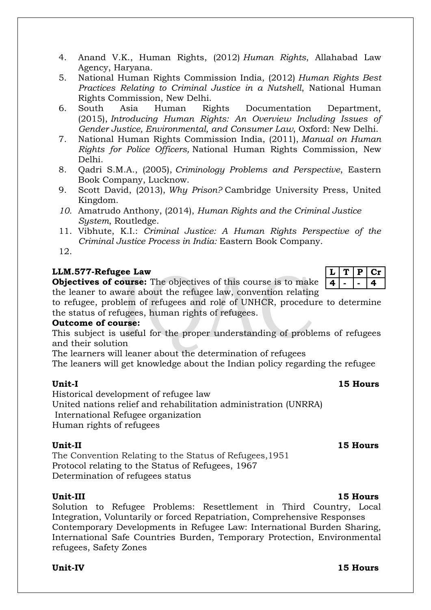- 4. Anand V.K., Human Rights, (2012) *Human Rights*, Allahabad Law Agency, Haryana.
- 5. National Human Rights Commission India, (2012) *Human Rights Best Practices Relating to Criminal Justice in a Nutshell*, National Human Rights Commission, New Delhi.
- 6. South Asia Human Rights Documentation Department, (2015), *Introducing Human Rights: An Overview Including Issues of Gender Justice, Environmental, and Consumer Law*, Oxford: New Delhi.
- 7. National Human Rights Commission India, (2011), *Manual on Human Rights for Police Officers,* National Human Rights Commission, New Delhi.
- 8. Qadri S.M.A., (2005), *Criminology Problems and Perspective*, Eastern Book Company, Lucknow.
- 9. Scott David, (2013), *Why Prison?* Cambridge University Press, United Kingdom.
- *10.* Amatrudo Anthony, (2014), *Human Rights and the Criminal Justice System*, Routledge.
- 11. Vibhute, K.I.: *Criminal Justice: A Human Rights Perspective of the Criminal Justice Process in India:* Eastern Book Company.
- 12.

## **LLM.577-Refugee Law**

**Objectives of course:** The objectives of this course is to make the leaner to aware about the refugee law, convention relating

to refugee, problem of refugees and role of UNHCR, procedure to determine the status of refugees, human rights of refugees.

### **Outcome of course:**

This subject is useful for the proper understanding of problems of refugees and their solution

The learners will leaner about the determination of refugees

The leaners will get knowledge about the Indian policy regarding the refugee

Historical development of refugee law

United nations relief and rehabilitation administration (UNRRA) International Refugee organization

Human rights of refugees

### **Unit-II 15 Hours**

The Convention Relating to the Status of Refugees,1951 Protocol relating to the Status of Refugees, 1967 Determination of refugees status

**Unit-III 15 Hours** Solution to Refugee Problems: Resettlement in Third Country, Local Integration, Voluntarily or forced Repatriation, Comprehensive Responses Contemporary Developments in Refugee Law: International Burden Sharing, International Safe Countries Burden, Temporary Protection, Environmental refugees, Safety Zones

### **Unit-IV 15 Hours**

### **Unit-I 15 Hours**

# **L T P Cr 4 - - 4**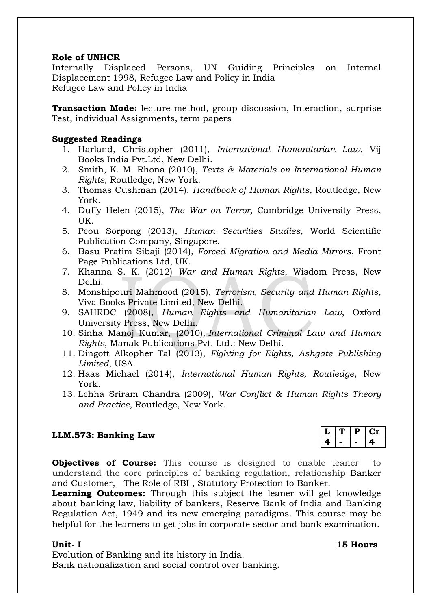### **Role of UNHCR**

Internally Displaced Persons, UN Guiding Principles on Internal Displacement 1998, Refugee Law and Policy in India Refugee Law and Policy in India

**Transaction Mode:** lecture method, group discussion, Interaction, surprise Test, individual Assignments, term papers

## **Suggested Readings**

- 1. Harland, Christopher (2011), *International Humanitarian Law*, Vij Books India Pvt.Ltd, New Delhi.
- 2. Smith, K. M. Rhona (2010), *Texts & Materials on International Human Rights*, Routledge, New York.
- 3. Thomas Cushman (2014), *Handbook of Human Rights*, Routledge, New York.
- 4. Duffy Helen (2015), *The War on Terror,* Cambridge University Press, UK.
- 5. Peou Sorpong (2013), *Human Securities Studies*, World Scientific Publication Company, Singapore.
- 6. Basu Pratim Sibaji (2014), *Forced Migration and Media Mirrors*, Front Page Publications Ltd, UK.
- 7. Khanna S. K. (2012) *War and Human Rights*, Wisdom Press, New Delhi.
- 8. Monshipouri Mahmood (2015), *Terrorism, Security and Human Rights*, Viva Books Private Limited, New Delhi.
- 9. SAHRDC (2008), *Human Rights and Humanitarian Law*, Oxford University Press, New Delhi.
- 10. Sinha Manoj Kumar, (2010), *International Criminal Law and Human Rights*, Manak Publications Pvt. Ltd.: New Delhi.
- 11. Dingott Alkopher Tal (2013), *Fighting for Rights, Ashgate Publishing Limited*, USA.
- 12. Haas Michael (2014), *International Human Rights, Routledge*, New York.
- 13. Lehha Sriram Chandra (2009), *War Conflict & Human Rights Theory and Practice*, Routledge, New York.

## **LLM.573: Banking Law**

|  | ٠ | L |
|--|---|---|
|  |   |   |

**Objectives of Course:** This course is designed to enable leaner to understand the core principles of banking regulation, relationship Banker and Customer, The Role of RBI , Statutory Protection to Banker.

**Learning Outcomes:** Through this subject the leaner will get knowledge about banking law, liability of bankers, Reserve Bank of India and Banking Regulation Act, 1949 and its new emerging paradigms. This course may be helpful for the learners to get jobs in corporate sector and bank examination.

Evolution of Banking and its history in India. Bank nationalization and social control over banking.

### **Unit- I 15 Hours**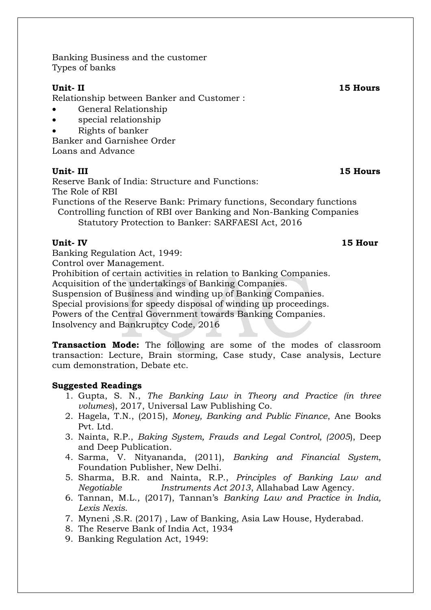Banking Business and the customer Types of banks

Relationship between Banker and Customer :

- General Relationship
- special relationship
- Rights of banker

Banker and Garnishee Order Loans and Advance

## **Unit- III 15 Hours**

Reserve Bank of India: Structure and Functions: The Role of RBI

Functions of the Reserve Bank: Primary functions, Secondary functions Controlling function of RBI over Banking and Non-Banking Companies Statutory Protection to Banker: SARFAESI Act, 2016

## **Unit- IV 15 Hour**

Banking Regulation Act, 1949:

Control over Management.

Prohibition of certain activities in relation to Banking Companies.

Acquisition of the undertakings of Banking Companies.

Suspension of Business and winding up of Banking Companies.

Special provisions for speedy disposal of winding up proceedings.

Powers of the Central Government towards Banking Companies.

Insolvency and Bankruptcy Code, 2016

**Transaction Mode:** The following are some of the modes of classroom transaction: Lecture, Brain storming, Case study, Case analysis, Lecture cum demonstration, Debate etc.

### **Suggested Readings**

- 1. Gupta, S. N., *The Banking Law in Theory and Practice (in three volumes*), 2017, Universal Law Publishing Co.
- 2. Hagela, T.N., (2015), *Money, Banking and Public Finance*, Ane Books Pvt. Ltd.
- 3. Nainta, R.P., *Baking System, Frauds and Legal Control, (2005*), Deep and Deep Publication.
- 4. Sarma, V. Nityananda, (2011), *Banking and Financial System*, Foundation Publisher, New Delhi.
- 5. Sharma, B.R. and Nainta, R.P., *Principles of Banking Law and Negotiable Instruments Act 2013*, Allahabad Law Agency.
- 6. Tannan, M.L., (2017), Tannan's *Banking Law and Practice in India, Lexis Nexis*.
- 7. Myneni ,S.R. (2017) , Law of Banking, Asia Law House, Hyderabad.
- 8. The Reserve Bank of India Act, 1934
- 9. Banking Regulation Act, 1949:

### **Unit- II 15 Hours**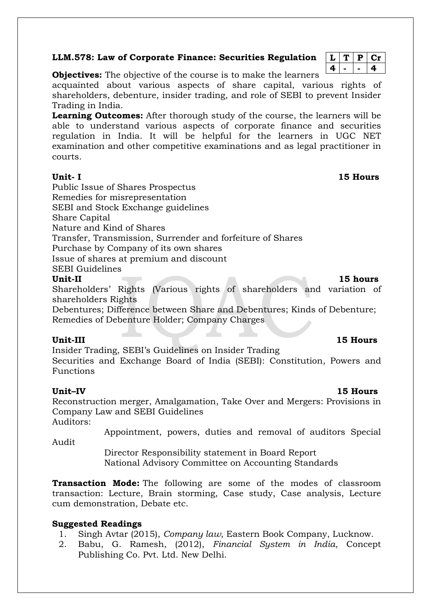### **LLM.578: Law of Corporate Finance: Securities Regulation**

 $L | T | P | Cr$ **4 - - 4**

**Objectives:** The objective of the course is to make the learners

acquainted about various aspects of share capital, various rights of shareholders, debenture, insider trading, and role of SEBI to prevent Insider Trading in India.

**Learning Outcomes:** After thorough study of the course, the learners will be able to understand various aspects of corporate finance and securities regulation in India. It will be helpful for the learners in UGC NET examination and other competitive examinations and as legal practitioner in courts.

**Unit- I 15 Hours**

Public Issue of Shares Prospectus Remedies for misrepresentation SEBI and Stock Exchange guidelines Share Capital Nature and Kind of Shares Transfer, Transmission, Surrender and forfeiture of Shares Purchase by Company of its own shares Issue of shares at premium and discount SEBI Guidelines

### **Unit-II 15 hours**

Shareholders' Rights (Various rights of shareholders and variation of shareholders Rights

Debentures; Difference between Share and Debentures; Kinds of Debenture; Remedies of Debenture Holder; Company Charges

Unit-III 15 Hours

Insider Trading, SEBI's Guidelines on Insider Trading Securities and Exchange Board of India (SEBI): Constitution, Powers and Functions

**Unit–IV 15 Hours**

Reconstruction merger, Amalgamation, Take Over and Mergers: Provisions in Company Law and SEBI Guidelines Auditors:

Appointment, powers, duties and removal of auditors Special

Audit

Director Responsibility statement in Board Report National Advisory Committee on Accounting Standards

**Transaction Mode:** The following are some of the modes of classroom transaction: Lecture, Brain storming, Case study, Case analysis, Lecture cum demonstration, Debate etc.

### **Suggested Readings**

1. Singh Avtar (2015), *Company law*, Eastern Book Company, Lucknow.

2. Babu, G. Ramesh, (2012), *Financial System in India*, Concept Publishing Co. Pvt. Ltd. New Delhi.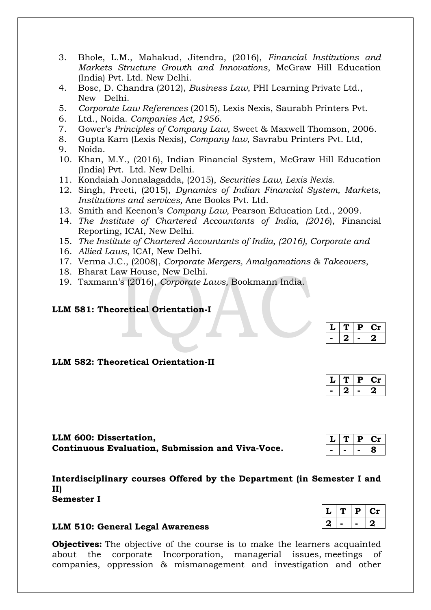- 3. Bhole, L.M., Mahakud, Jitendra, (2016), *Financial Institutions and Markets Structure Growth and Innovations*, McGraw Hill Education (India) Pvt. Ltd. New Delhi.
- 4. Bose, D. Chandra (2012), *Business Law*, PHI Learning Private Ltd., New Delhi.
- 5. *Corporate Law References* (2015), Lexis Nexis, Saurabh Printers Pvt.
- 6. Ltd., Noida. *Companies Act, 1956*.
- 7. Gower's *Principles of Company Law,* Sweet & Maxwell Thomson, 2006.
- 8. Gupta Karn (Lexis Nexis), *Company law*, Savrabu Printers Pvt. Ltd,
- 9. Noida.
- 10. Khan, M.Y., (2016), Indian Financial System, McGraw Hill Education (India) Pvt. Ltd. New Delhi.
- 11. Kondaiah Jonnalagadda, (2015), *Securities Law, Lexis Nexis*.
- 12. Singh, Preeti, (2015), *Dynamics of Indian Financial System, Markets, Institutions and services,* Ane Books Pvt. Ltd.
- 13. Smith and Keenon's *Company Law*, Pearson Education Ltd., 2009.
- 14. *The Institute of Chartered Accountants of India, (2016*), Financial Reporting, ICAI, New Delhi.
- 15. *The Institute of Chartered Accountants of India, (2016), Corporate and*
- 16. *Allied Laws*, ICAI, New Delhi.
- 17. Verma J.C., (2008), *Corporate Mergers, Amalgamations & Takeovers*,
- 18. Bharat Law House, New Delhi.
- 19. Taxmann's (2016), *Corporate Laws,* Bookmann India.

### **LLM 581: Theoretical Orientation-I**

|  | L |
|--|---|
|  |   |

## **LLM 582: Theoretical Orientation-II**

|  | L |
|--|---|
|  |   |

 $L | T | P | Cr$ **- - - 8**

 $L | T | P | Cr$ **2 - - 2**

**LLM 600: Dissertation, Continuous Evaluation, Submission and Viva-Voce.**

**Interdisciplinary courses Offered by the Department (in Semester I and II)**

**Semester I**

### **LLM 510: General Legal Awareness**

**Objectives:** The objective of the course is to make the learners acquainted about the corporate Incorporation, managerial issues, meetings of companies, oppression & mismanagement and investigation and other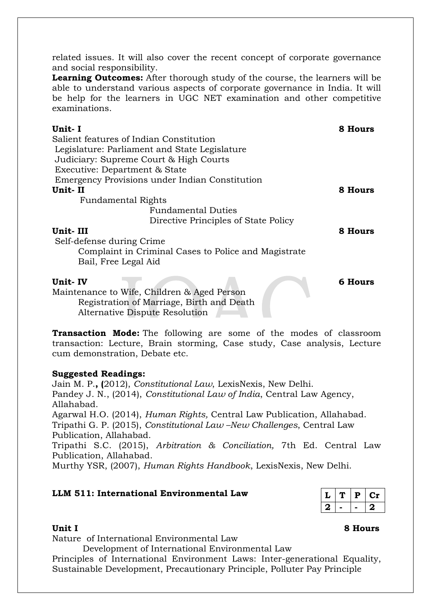related issues. It will also cover the recent concept of corporate governance and social responsibility.

**Learning Outcomes:** After thorough study of the course, the learners will be able to understand various aspects of corporate governance in India. It will be help for the learners in UGC NET examination and other competitive examinations.

| Unit- I                                              | 8 Hours |
|------------------------------------------------------|---------|
| Salient features of Indian Constitution              |         |
| Legislature: Parliament and State Legislature        |         |
| Judiciary: Supreme Court & High Courts               |         |
| Executive: Department & State                        |         |
| Emergency Provisions under Indian Constitution       |         |
| Unit-II                                              | 8 Hours |
| <b>Fundamental Rights</b>                            |         |
| <b>Fundamental Duties</b>                            |         |
| Directive Principles of State Policy                 |         |
| Unit-III                                             | 8 Hours |
| Self-defense during Crime                            |         |
| Complaint in Criminal Cases to Police and Magistrate |         |
| Bail, Free Legal Aid                                 |         |
| Unit- IV                                             | 6 Hours |

Maintenance to Wife, Children & Aged Person Registration of Marriage, Birth and Death Alternative Dispute Resolution

**Transaction Mode:** The following are some of the modes of classroom transaction: Lecture, Brain storming, Case study, Case analysis, Lecture cum demonstration, Debate etc.

## **Suggested Readings:**

Jain M. P.**, (**2012), *Constitutional Law*, LexisNexis, New Delhi. Pandey J. N., (2014), *Constitutional Law of India*, Central Law Agency, Allahabad. Agarwal H.O. (2014), *Human Rights,* Central Law Publication, Allahabad. Tripathi G. P. (2015), *Constitutional Law –New Challenges*, Central Law Publication, Allahabad. Tripathi S.C. (2015), *Arbitration & Conciliation,* 7th Ed. Central Law Publication, Allahabad.

Murthy YSR, (2007), *Human Rights Handbook*, LexisNexis, New Delhi.

## **LLM 511: International Environmental Law**

|    | D | U . 1 |
|----|---|-------|
| -2 |   | ۰,    |

Nature of International Environmental Law

Development of International Environmental Law

Principles of International Environment Laws: Inter-generational Equality, Sustainable Development, Precautionary Principle, Polluter Pay Principle

### **Unit I** 8 Hours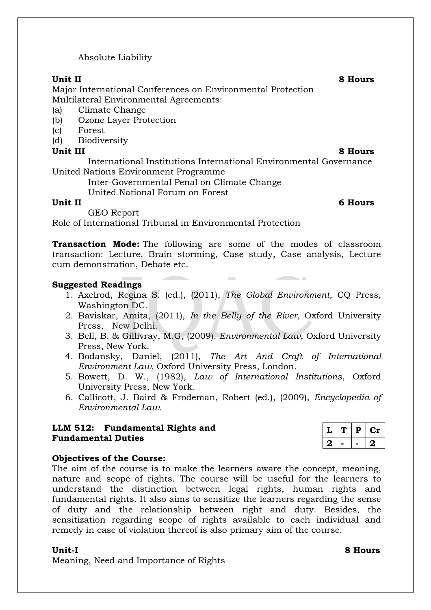Absolute Liability

Major International Conferences on Environmental Protection Multilateral Environmental Agreements:

- (a) Climate Change
- (b) Ozone Layer Protection
- (c) Forest
- (d) Biodiversity

## **Unit III 8 Hours**

International Institutions International Environmental Governance United Nations Environment Programme

Inter-Governmental Penal on Climate Change

United National Forum on Forest

**Unit II 6 Hours**

GEO Report

Role of International Tribunal in Environmental Protection

**Transaction Mode:** The following are some of the modes of classroom transaction: Lecture, Brain storming, Case study, Case analysis, Lecture cum demonstration, Debate etc.

## **Suggested Readings**

1. Axelrod, Regina S. (ed.), (2011), *The Global Environment,* CQ Press, Washington DC.

 $\sim$ 

- 2. Baviskar, Amita, (2011), *In the Belly of the River,* Oxford University Press, New Delhi.
- 3. Bell, B. & Gillivray, M.G, (2009). *Environmental Law*, Oxford University Press, New York.
- 4. Bodansky, Daniel, (2011), *The Art And Craft of International Environment Law,* Oxford University Press, London.
- 5. Bowett, D. W., (1982), *Law of International Institutions*, Oxford University Press, New York.
- 6. Callicott, J. Baird & Frodeman, Robert (ed.), (2009), *Encyclopedia of Environmental Law.*

## **LLM 512: Fundamental Rights and Fundamental Duties**

### **Objectives of the Course:**

The aim of the course is to make the learners aware the concept, meaning, nature and scope of rights. The course will be useful for the learners to understand the distinction between legal rights, human rights and fundamental rights. It also aims to sensitize the learners regarding the sense of duty and the relationship between right and duty. Besides, the sensitization regarding scope of rights available to each individual and remedy in case of violation thereof is also primary aim of the course.

Meaning, Need and Importance of Rights

**Unit-I 8 Hours**

# $L | T | P | Cr$ **2 - - 2**

**Unit II 8 Hours**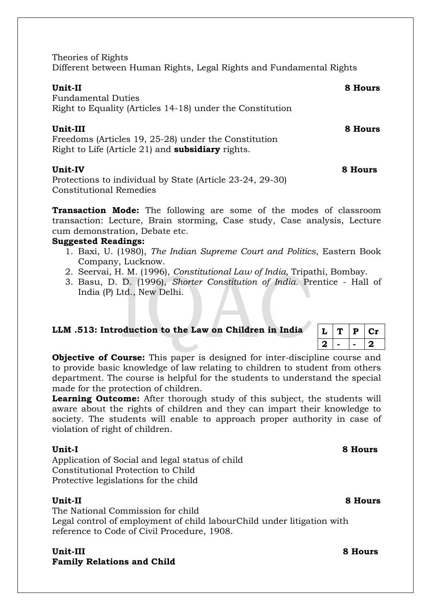Theories of Rights Different between Human Rights, Legal Rights and Fundamental Rights

### **Unit-II 8 Hours**

Fundamental Duties Right to Equality (Articles 14-18) under the Constitution

**Unit-III 8 Hours**

Freedoms (Articles 19, 25-28) under the Constitution Right to Life (Article 21) and **subsidiary** rights.

### **Unit-IV 8 Hours**

Protections to individual by State (Article 23-24, 29-30) Constitutional Remedies

**Transaction Mode:** The following are some of the modes of classroom transaction: Lecture, Brain storming, Case study, Case analysis, Lecture cum demonstration, Debate etc.

### **Suggested Readings:**

- 1. Baxi, U. (1980), *The Indian Supreme Court and Politics*, Eastern Book Company, Lucknow.
- 2. Seervai, H. M. (1996), *Constitutional Law of India,* Tripathi, Bombay.
- 3. Basu, D. D. (1996), *Shorter Constitution of India*. Prentice Hall of India (P) Ltd., New Delhi.

| LLM .513: Introduction to the Law on Children in India $\ L\ T\ P\ Cr$ |  |                 |  |
|------------------------------------------------------------------------|--|-----------------|--|
|                                                                        |  | $ 2  -   -  2 $ |  |

**Objective of Course:** This paper is designed for inter-discipline course and to provide basic knowledge of law relating to children to student from others department. The course is helpful for the students to understand the special made for the protection of children.

Learning **Outcome:** After thorough study of this subject, the students will aware about the rights of children and they can impart their knowledge to society. The students will enable to approach proper authority in case of violation of right of children.

Application of Social and legal status of child Constitutional Protection to Child Protective legislations for the child

### **Unit-II 8 Hours**

The National Commission for child Legal control of employment of child labourChild under litigation with reference to Code of Civil Procedure, 1908.

**Unit-III 8 Hours Family Relations and Child**

## **Unit-I 8 Hours**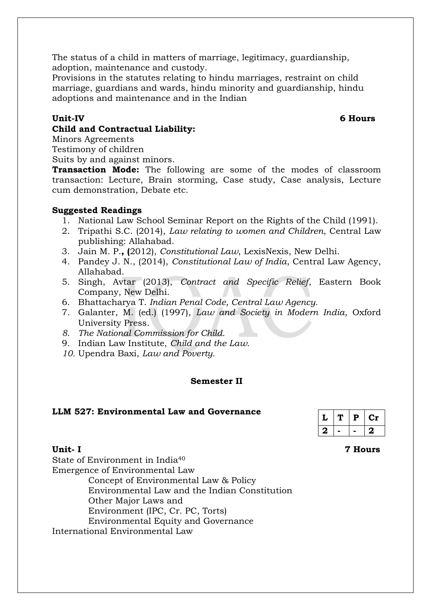The status of a child in matters of marriage, legitimacy, guardianship, adoption, maintenance and custody.

Provisions in the statutes relating to hindu marriages, restraint on child marriage, guardians and wards, hindu minority and guardianship, hindu adoptions and maintenance and in the Indian

## **Child and Contractual Liability:**

Minors Agreements

Testimony of children

Suits by and against minors.

**Transaction Mode:** The following are some of the modes of classroom transaction: Lecture, Brain storming, Case study, Case analysis, Lecture cum demonstration, Debate etc.

## **Suggested Readings**

- 1. National Law School Seminar Report on the Rights of the Child (1991).
- 2. Tripathi S.C. (2014), *Law relating to women and Children*, Central Law publishing: Allahabad.
- 3. Jain M. P.**, (**2012), *Constitutional Law*, LexisNexis, New Delhi.
- 4. Pandey J. N., (2014), *Constitutional Law of India*, Central Law Agency, Allahabad.
- 5. Singh, Avtar (2013), *Contract and Specific Relief*, Eastern Book Company, New Delhi.
- 6. Bhattacharya T. *[Indian Penal Code, Central Law Agency.](https://www.amazon.in/INDIAN-PENAL-CODE-8th-2014/dp/819294834X/ref=sr_1_2?s=books&ie=UTF8&qid=1516610836&sr=1-2&refinements=p_27%3AT+Bhattacharya)*
- 7. Galanter, M. (ed.) (1997), *Law and Society in Modern India*, Oxford University Press.
- *8. The National Commission for Child.*
- 9. Indian Law Institute, *Child and the Law.*
- *10.* Upendra Baxi, *Law and Poverty.*

### **Semester II**

### **LLM 527: Environmental Law and Governance**

|         | D | C1 |
|---------|---|----|
| $\cdot$ |   | ., |

**Unit- I 7 Hours**

State of Environment in India<sup>40</sup> Emergence of Environmental Law Concept of Environmental Law & Policy Environmental Law and the Indian Constitution Other Major Laws and Environment (IPC, Cr. PC, Torts) Environmental Equity and Governance

International Environmental Law

## **Unit-IV 6 Hours**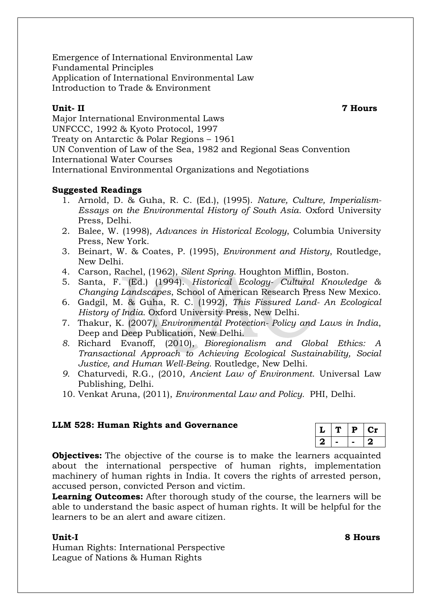Emergence of International Environmental Law Fundamental Principles Application of International Environmental Law Introduction to Trade & Environment

**Unit- II 7 Hours**

Major International Environmental Laws UNFCCC, 1992 & Kyoto Protocol, 1997 Treaty on Antarctic & Polar Regions – 1961 UN Convention of Law of the Sea, 1982 and Regional Seas Convention International Water Courses International Environmental Organizations and Negotiations

## **Suggested Readings**

- 1. Arnold, D. & Guha, R. C. (Ed.), (1995). *Nature, Culture, Imperialism-Essays on the Environmental History of South Asia*. Oxford University Press, Delhi.
- 2. Balee, W. (1998), *Advances in Historical Ecology*, Columbia University Press, New York.
- 3. Beinart, W. & Coates, P. (1995), *Environment and History*, Routledge, New Delhi.
- 4. Carson, Rachel, (1962), *Silent Spring*. Houghton Mifflin, Boston.
- 5. Santa, F. (Ed.) (1994). *Historical Ecology- Cultural Knowledge & Changing Landscapes*, School of American Research Press New Mexico.
- 6. Gadgil, M. & Guha, R. C. (1992), *This Fissured Land- An Ecological History of India.* Oxford University Press, New Delhi.
- 7. Thakur, K. (2007*), Environmental Protection- Policy and Laws in India*, Deep and Deep Publication, New Delhi.
- *8.* Richard Evanoff, (2010), *Bioregionalism and Global Ethics: A Transactional Approach to Achieving Ecological Sustainability, Social Justice, and Human Well-Being.* Routledge, New Delhi.
- *9.* Chaturvedi, R.G., (2010, *Ancient Law of Environment*. Universal Law Publishing, Delhi.
- 10. Venkat Aruna, (2011), *Environmental Law and Policy.* PHI, Delhi.

## **LLM 528: Human Rights and Governance**

|   | P |   |
|---|---|---|
| 2 |   | 2 |

**Objectives:** The objective of the course is to make the learners acquainted about the international perspective of human rights, implementation machinery of human rights in India. It covers the rights of arrested person, accused person, convicted Person and victim.

**Learning Outcomes:** After thorough study of the course, the learners will be able to understand the basic aspect of human rights. It will be helpful for the learners to be an alert and aware citizen.

Human Rights: International Perspective League of Nations & Human Rights

**Unit-I 8 Hours**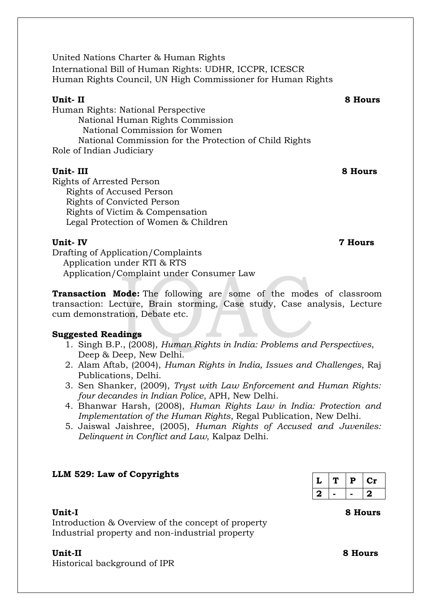United Nations Charter & Human Rights International Bill of Human Rights: UDHR, ICCPR, ICESCR Human Rights Council, UN High Commissioner for Human Rights

### **Unit- II 8 Hours**

Human Rights: National Perspective National Human Rights Commission National Commission for Women National Commission for the Protection of Child Rights Role of Indian Judiciary

**Unit- III 8 Hours** Rights of Arrested Person Rights of Accused Person Rights of Convicted Person Rights of Victim & Compensation Legal Protection of Women & Children

### **Unit- IV 7 Hours**

Drafting of Application/Complaints Application under RTI & RTS Application/Complaint under Consumer Law

**Transaction Mode:** The following are some of the modes of classroom transaction: Lecture, Brain storming, Case study, Case analysis, Lecture cum demonstration, Debate etc.

### **Suggested Readings**

- 1. Singh B.P., (2008), *Human Rights in India: Problems and Perspectives*, Deep & Deep, New Delhi.
- 2. Alam Aftab, (2004), *Human Rights in India, Issues and Challenges*, Raj Publications, Delhi.
- 3. Sen Shanker, (2009), *Tryst with Law Enforcement and Human Rights: four decandes in Indian Police*, APH, New Delhi.
- 4. Bhanwar Harsh, (2008), *Human Rights Law in India: Protection and Implementation of the Human Rights*, Regal Publication, New Delhi.
- 5. Jaiswal Jaishree, (2005), *Human Rights of Accused and Juveniles: Delinquent in Conflict and Law*, Kalpaz Delhi.

### **LLM 529: Law of Copyrights**

|   | P | Сr |
|---|---|----|
| 2 |   | 2  |

### **Unit-I 8 Hours**

Introduction & Overview of the concept of property Industrial property and non-industrial property

### **Unit-II 8 Hours**

Historical background of IPR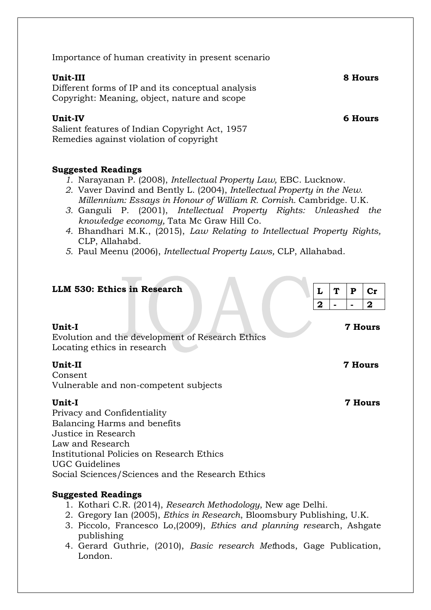Importance of human creativity in present scenario

Different forms of IP and its conceptual analysis Copyright: Meaning, object, nature and scope

## **Unit-IV 6 Hours**

Salient features of Indian Copyright Act, 1957 Remedies against violation of copyright

## **Suggested Readings**

- *1.* Narayanan P. (2008), *Intellectual Property Law,* EBC. Lucknow.
- *2.* Vaver Davind and Bently L. (2004), *[Intellectual Property in the New.](http://www.amazon.com/Intellectual-Property-New-Millennium-William/dp/0521846439/ref=sr_1_fkmr0_3?s=books&ie=UTF8&qid=1437714573&sr=1-3-fkmr0&keywords=2.%09Cornish+William+%E2%80%93+Intellectual+Property) [Millennium: Essays in Honour of William R. Cornish.](http://www.amazon.com/Intellectual-Property-New-Millennium-William/dp/0521846439/ref=sr_1_fkmr0_3?s=books&ie=UTF8&qid=1437714573&sr=1-3-fkmr0&keywords=2.%09Cornish+William+%E2%80%93+Intellectual+Property)* Cambridge. U.K.
- *3.* [Ganguli P](http://www.amazon.com/Intellectual-Property-New-Millennium-William/dp/0521846439/ref=sr_1_fkmr0_3?s=books&ie=UTF8&qid=1437714573&sr=1-3-fkmr0&keywords=2.%09Cornish+William+%E2%80%93+Intellectual+Property)*.* (2001), *Intellectual Property Rights: Unleashed the knowledge economy,* Tata Mc Graw Hill Co.
- *4.* Bhandhari M.K., (2015), *Law Relating to Intellectual Property Rights,*  CLP, Allahabd.
- *5.* Paul Meenu (2006), *Intellectual Property Laws,* CLP, Allahabad.

## **LLM 530: Ethics in Research**

| Unit-I                                           | <b>7 Hours</b> |
|--------------------------------------------------|----------------|
| Evolution and the development of Research Ethics |                |
| Locating ethics in research.                     |                |
| Unit-II                                          | <b>7 Hours</b> |
| Consent                                          |                |
| Vulnerable and non-competent subjects            |                |
| Unit-I                                           | <b>7 Hours</b> |
| Privacy and Confidentiality                      |                |
| Balancing Harms and benefits                     |                |
| Justice in Research                              |                |
| Law and Research                                 |                |
| Institutional Policies on Research Ethics        |                |
| UGC Guidelines                                   |                |
| Social Sciences/Sciences and the Research Ethics |                |

## **Suggested Readings**

- 1. Kothari C.R. (2014), *Research Methodology*, New age Delhi.
- 2. Gregory Ian (2005), *Ethics in Research*, Bloomsbury Publishing, U.K.
- 3. Piccolo, Francesco Lo,(2009), *Ethics and planning rese*arch, Ashgate publishing
- 4. Gerard Guthrie, (2010), *Basic research Met*hods, Gage Publication, London.

 $L$  **T P**  $cr$ **2 - - 2**

**Unit-III 8 Hours**